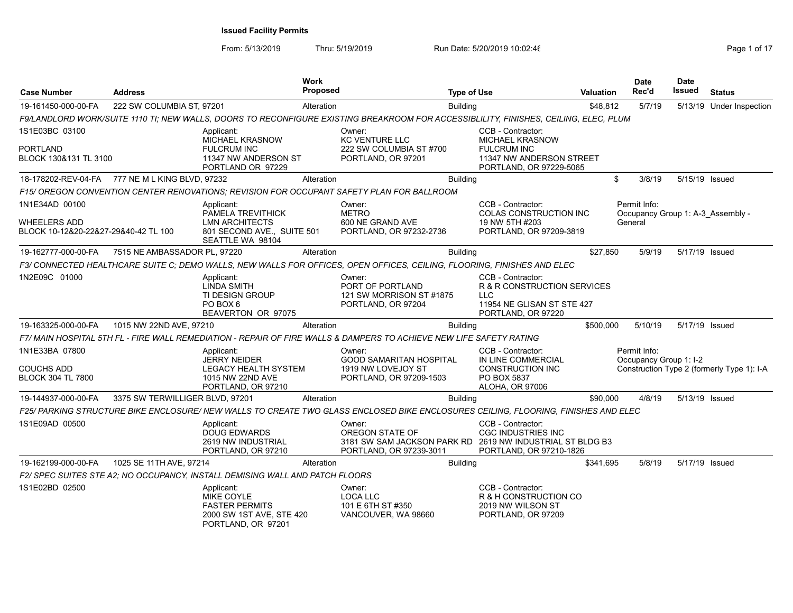| <b>Case Number</b>                                   | <b>Address</b>                  |                                                                                                            | <b>Work</b><br><b>Proposed</b> |                                                                                                                                      | <b>Type of Use</b> |                                                                                                                          | <b>Valuation</b> |         | <b>Date</b><br>Rec'd                   | <b>Date</b><br>Issued | <b>Status</b>                              |
|------------------------------------------------------|---------------------------------|------------------------------------------------------------------------------------------------------------|--------------------------------|--------------------------------------------------------------------------------------------------------------------------------------|--------------------|--------------------------------------------------------------------------------------------------------------------------|------------------|---------|----------------------------------------|-----------------------|--------------------------------------------|
| 19-161450-000-00-FA                                  | 222 SW COLUMBIA ST, 97201       |                                                                                                            | Alteration                     |                                                                                                                                      | <b>Building</b>    |                                                                                                                          | \$48,812         |         | 5/7/19                                 |                       | 5/13/19 Under Inspection                   |
|                                                      |                                 |                                                                                                            |                                | F9/LANDLORD WORK/SUITE 1110 TI; NEW WALLS, DOORS TO RECONFIGURE EXISTING BREAKROOM FOR ACCESSIBLILITY, FINISHES, CEILING, ELEC, PLUM |                    |                                                                                                                          |                  |         |                                        |                       |                                            |
| 1S1E03BC 03100<br>PORTLAND<br>BLOCK 130&131 TL 3100  |                                 | Applicant:<br><b>MICHAEL KRASNOW</b><br><b>FULCRUM INC</b><br>11347 NW ANDERSON ST<br>PORTLAND OR 97229    |                                | Owner:<br>KC VENTURE LLC<br>222 SW COLUMBIA ST #700<br>PORTLAND, OR 97201                                                            |                    | CCB - Contractor:<br><b>MICHAEL KRASNOW</b><br><b>FULCRUM INC</b><br>11347 NW ANDERSON STREET<br>PORTLAND, OR 97229-5065 |                  |         |                                        |                       |                                            |
| 18-178202-REV-04-FA                                  | 777 NE M L KING BLVD, 97232     |                                                                                                            | Alteration                     |                                                                                                                                      | <b>Building</b>    |                                                                                                                          |                  | \$      | 3/8/19                                 | 5/15/19 Issued        |                                            |
|                                                      |                                 |                                                                                                            |                                | F15/OREGON CONVENTION CENTER RENOVATIONS: REVISION FOR OCCUPANT SAFETY PLAN FOR BALLROOM                                             |                    |                                                                                                                          |                  |         |                                        |                       |                                            |
| 1N1E34AD 00100                                       |                                 | Applicant:<br>PAMELA TREVITHICK                                                                            |                                | Owner:<br><b>METRO</b>                                                                                                               |                    | CCB - Contractor:<br>COLAS CONSTRUCTION INC                                                                              |                  |         | Permit Info:                           |                       | Occupancy Group 1: A-3 Assembly -          |
| WHEELERS ADD<br>BLOCK 10-12&20-22&27-29&40-42 TL 100 |                                 | <b>LMN ARCHITECTS</b><br>801 SECOND AVE., SUITE 501<br>SEATTLE WA 98104                                    |                                | 600 NE GRAND AVE<br>PORTLAND, OR 97232-2736                                                                                          |                    | 19 NW 5TH #203<br>PORTLAND, OR 97209-3819                                                                                |                  | General |                                        |                       |                                            |
| 19-162777-000-00-FA                                  | 7515 NE AMBASSADOR PL, 97220    |                                                                                                            | Alteration                     |                                                                                                                                      | <b>Building</b>    |                                                                                                                          | \$27,850         |         | 5/9/19                                 | 5/17/19 Issued        |                                            |
|                                                      |                                 |                                                                                                            |                                | F3/ CONNECTED HEALTHCARE SUITE C; DEMO WALLS, NEW WALLS FOR OFFICES, OPEN OFFICES, CEILING, FLOORING, FINISHES AND ELEC              |                    |                                                                                                                          |                  |         |                                        |                       |                                            |
| 1N2E09C 01000                                        |                                 | Applicant:<br>LINDA SMITH<br><b>TI DESIGN GROUP</b><br>PO BOX 6<br>BEAVERTON OR 97075                      |                                | Owner:<br>PORT OF PORTLAND<br>121 SW MORRISON ST #1875<br>PORTLAND, OR 97204                                                         |                    | CCB - Contractor:<br>R & R CONSTRUCTION SERVICES<br><b>LLC</b><br>11954 NE GLISAN ST STE 427<br>PORTLAND, OR 97220       |                  |         |                                        |                       |                                            |
| 19-163325-000-00-FA                                  | 1015 NW 22ND AVE, 97210         |                                                                                                            | Alteration                     |                                                                                                                                      | <b>Building</b>    |                                                                                                                          | \$500,000        |         | 5/10/19                                | 5/17/19 Issued        |                                            |
|                                                      |                                 |                                                                                                            |                                | F7/ MAIN HOSPITAL 5TH FL - FIRE WALL REMEDIATION - REPAIR OF FIRE WALLS & DAMPERS TO ACHIEVE NEW LIFE SAFETY RATING                  |                    |                                                                                                                          |                  |         |                                        |                       |                                            |
| 1N1E33BA 07800<br>COUCHS ADD<br>BLOCK 304 TL 7800    |                                 | Applicant:<br><b>JERRY NEIDER</b><br><b>LEGACY HEALTH SYSTEM</b><br>1015 NW 22ND AVE<br>PORTLAND, OR 97210 |                                | Owner:<br><b>GOOD SAMARITAN HOSPITAL</b><br>1919 NW LOVEJOY ST<br>PORTLAND, OR 97209-1503                                            |                    | CCB - Contractor:<br>IN LINE COMMERCIAL<br><b>CONSTRUCTION INC</b><br>PO BOX 5837<br>ALOHA, OR 97006                     |                  |         | Permit Info:<br>Occupancy Group 1: I-2 |                       | Construction Type 2 (formerly Type 1): I-A |
| 19-144937-000-00-FA                                  | 3375 SW TERWILLIGER BLVD, 97201 |                                                                                                            | Alteration                     |                                                                                                                                      | <b>Building</b>    |                                                                                                                          | \$90,000         |         | 4/8/19                                 | 5/13/19 Issued        |                                            |
|                                                      |                                 |                                                                                                            |                                | F25/ PARKING STRUCTURE BIKE ENCLOSURE/ NEW WALLS TO CREATE TWO GLASS ENCLOSED BIKE ENCLOSURES CEILING, FLOORING, FINISHES AND ELEC   |                    |                                                                                                                          |                  |         |                                        |                       |                                            |
| 1S1E09AD 00500                                       |                                 | Applicant:<br><b>DOUG EDWARDS</b><br>2619 NW INDUSTRIAL<br>PORTLAND, OR 97210                              |                                | Owner:<br>OREGON STATE OF<br>3181 SW SAM JACKSON PARK RD 2619 NW INDUSTRIAL ST BLDG B3<br>PORTLAND, OR 97239-3011                    |                    | CCB - Contractor:<br><b>CGC INDUSTRIES INC</b><br>PORTLAND, OR 97210-1826                                                |                  |         |                                        |                       |                                            |
| 19-162199-000-00-FA                                  | 1025 SE 11TH AVE, 97214         |                                                                                                            | Alteration                     |                                                                                                                                      | <b>Building</b>    |                                                                                                                          | \$341,695        |         | 5/8/19                                 | 5/17/19 Issued        |                                            |
|                                                      |                                 | F2/ SPEC SUITES STE A2; NO OCCUPANCY, INSTALL DEMISING WALL AND PATCH FLOORS                               |                                |                                                                                                                                      |                    |                                                                                                                          |                  |         |                                        |                       |                                            |
| 1S1E02BD 02500                                       |                                 | Applicant:<br>MIKE COYLE<br><b>FASTER PERMITS</b><br>2000 SW 1ST AVE, STE 420<br>PORTLAND, OR 97201        |                                | Owner:<br>LOCA LLC<br>101 E 6TH ST #350<br>VANCOUVER, WA 98660                                                                       |                    | CCB - Contractor:<br>R & H CONSTRUCTION CO<br>2019 NW WILSON ST<br>PORTLAND, OR 97209                                    |                  |         |                                        |                       |                                            |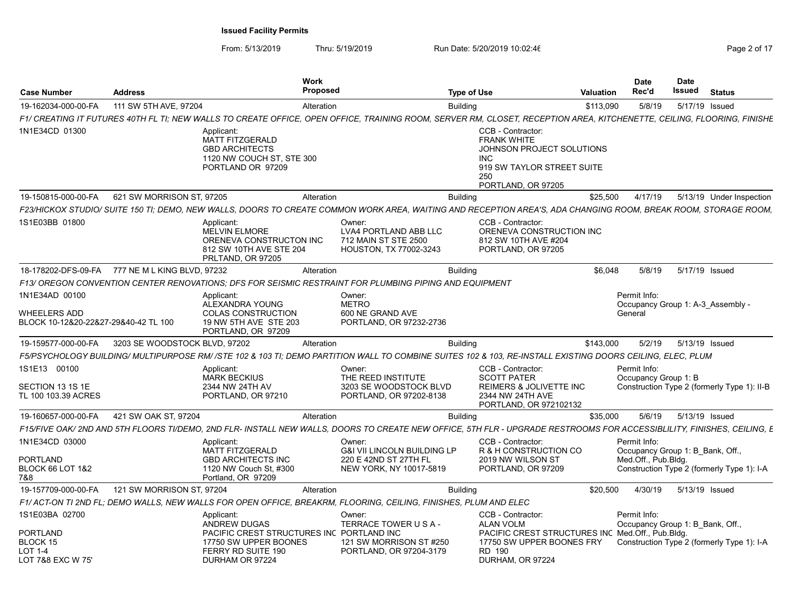| Case Number                                                                   | <b>Address</b>                | Work<br><b>Proposed</b>                                                                                       | <b>Type of Use</b>                                                                                                                                                     |                                                                                                                                               | <b>Valuation</b> | Date<br>Rec'd                                    | <b>Date</b><br>Issued | <b>Status</b>                               |
|-------------------------------------------------------------------------------|-------------------------------|---------------------------------------------------------------------------------------------------------------|------------------------------------------------------------------------------------------------------------------------------------------------------------------------|-----------------------------------------------------------------------------------------------------------------------------------------------|------------------|--------------------------------------------------|-----------------------|---------------------------------------------|
| 19-162034-000-00-FA                                                           | 111 SW 5TH AVE, 97204         | Alteration                                                                                                    | <b>Building</b>                                                                                                                                                        |                                                                                                                                               | \$113,090        | 5/8/19                                           |                       | 5/17/19 Issued                              |
|                                                                               |                               |                                                                                                               | F1/ CREATING IT FUTURES 40TH FL TI; NEW WALLS TO CREATE OFFICE, OPEN OFFICE, TRAINING ROOM, SERVER RM, CLOSET, RECEPTION AREA, KITCHENETTE, CEILING, FLOORING, FINISHE |                                                                                                                                               |                  |                                                  |                       |                                             |
| 1N1E34CD 01300                                                                |                               | Applicant:<br>MATT FITZGERALD<br><b>GBD ARCHITECTS</b><br>1120 NW COUCH ST, STE 300<br>PORTLAND OR 97209      |                                                                                                                                                                        | CCB - Contractor:<br><b>FRANK WHITE</b><br>JOHNSON PROJECT SOLUTIONS<br><b>INC</b><br>919 SW TAYLOR STREET SUITE<br>250<br>PORTLAND, OR 97205 |                  |                                                  |                       |                                             |
| 19-150815-000-00-FA                                                           | 621 SW MORRISON ST. 97205     | Alteration                                                                                                    | <b>Building</b>                                                                                                                                                        |                                                                                                                                               | \$25.500         | 4/17/19                                          |                       | 5/13/19 Under Inspection                    |
|                                                                               |                               |                                                                                                               | F23/HICKOX STUDIO/ SUITE 150 TI: DEMO. NEW WALLS. DOORS TO CREATE COMMON WORK AREA. WAITING AND RECEPTION AREA'S. ADA CHANGING ROOM. BREAK ROOM. STORAGE ROOM.         |                                                                                                                                               |                  |                                                  |                       |                                             |
| 1S1E03BB 01800                                                                |                               | Applicant:<br><b>MELVIN ELMORE</b><br>ORENEVA CONSTRUCTON INC<br>812 SW 10TH AVE STE 204<br>PRLTAND, OR 97205 | Owner:<br>LVA4 PORTLAND ABB LLC<br>712 MAIN ST STE 2500<br>HOUSTON, TX 77002-3243                                                                                      | CCB - Contractor:<br>ORENEVA CONSTRUCTION INC<br>812 SW 10TH AVE #204<br>PORTLAND, OR 97205                                                   |                  |                                                  |                       |                                             |
| 18-178202-DFS-09-FA                                                           | 777 NE M L KING BLVD, 97232   | Alteration                                                                                                    | <b>Building</b>                                                                                                                                                        |                                                                                                                                               | \$6,048          | 5/8/19                                           |                       | 5/17/19 Issued                              |
|                                                                               |                               |                                                                                                               | F13/ OREGON CONVENTION CENTER RENOVATIONS: DFS FOR SEISMIC RESTRAINT FOR PLUMBING PIPING AND EQUIPMENT                                                                 |                                                                                                                                               |                  |                                                  |                       |                                             |
| 1N1E34AD 00100<br><b>WHEELERS ADD</b><br>BLOCK 10-12&20-22&27-29&40-42 TL 100 |                               | Applicant:<br>ALEXANDRA YOUNG<br><b>COLAS CONSTRUCTION</b><br>19 NW 5TH AVE STE 203<br>PORTLAND, OR 97209     | Owner:<br><b>METRO</b><br>600 NE GRAND AVE<br>PORTLAND, OR 97232-2736                                                                                                  |                                                                                                                                               |                  | Permit Info:<br>General                          |                       | Occupancy Group 1: A-3 Assembly -           |
| 19-159577-000-00-FA                                                           | 3203 SE WOODSTOCK BLVD, 97202 | Alteration                                                                                                    | <b>Building</b>                                                                                                                                                        |                                                                                                                                               | \$143,000        | 5/2/19                                           |                       | 5/13/19 Issued                              |
|                                                                               |                               |                                                                                                               | F5/PSYCHOLOGY BUILDING/ MULTIPURPOSE RM//STE 102 & 103 TI: DEMO PARTITION WALL TO COMBINE SUITES 102 & 103. RE-INSTALL EXISTING DOORS CEILING. ELEC. PLUM              |                                                                                                                                               |                  |                                                  |                       |                                             |
| 1S1E13 00100<br>SECTION 13 1S 1E<br>TL 100 103.39 ACRES                       |                               | Applicant:<br><b>MARK BECKIUS</b><br>2344 NW 24TH AV<br>PORTLAND, OR 97210                                    | Owner:<br>THE REED INSTITUTE<br>3203 SE WOODSTOCK BLVD<br>PORTLAND, OR 97202-8138                                                                                      | CCB - Contractor:<br><b>SCOTT PATER</b><br>REIMERS & JOLIVETTE INC<br>2344 NW 24TH AVE<br>PORTLAND, OR 972102132                              |                  | Permit Info:<br>Occupancy Group 1: B             |                       | Construction Type 2 (formerly Type 1): II-B |
| 19-160657-000-00-FA                                                           | 421 SW OAK ST, 97204          | Alteration                                                                                                    | <b>Building</b>                                                                                                                                                        |                                                                                                                                               | \$35,000         | 5/6/19                                           |                       | 5/13/19 Issued                              |
|                                                                               |                               |                                                                                                               | F15/FIVE OAK/ 2ND AND 5TH FLOORS TI/DEMO, 2ND FLR- INSTALL NEW WALLS, DOORS TO CREATE NEW OFFICE, 5TH FLR - UPGRADE RESTROOMS FOR ACCESSIBLILITY, FINISHES, CEILING, E |                                                                                                                                               |                  |                                                  |                       |                                             |
| 1N1E34CD 03000                                                                |                               | Applicant:<br><b>MATT FITZGERALD</b>                                                                          | Owner:<br><b>G&amp;I VII LINCOLN BUILDING LP</b>                                                                                                                       | CCB - Contractor:<br>R & H CONSTRUCTION CO                                                                                                    |                  | Permit Info:<br>Occupancy Group 1: B Bank, Off., |                       |                                             |
| PORTLAND<br><b>BLOCK 66 LOT 1&amp;2</b><br>7&8                                |                               | <b>GBD ARCHITECTS INC</b><br>1120 NW Couch St, #300<br>Portland, OR 97209                                     | 220 E 42ND ST 27TH FL<br>NEW YORK, NY 10017-5819                                                                                                                       | 2019 NW WILSON ST<br>PORTLAND, OR 97209                                                                                                       |                  | Med.Off., Pub.Blda.                              |                       | Construction Type 2 (formerly Type 1): I-A  |
| 19-157709-000-00-FA                                                           | 121 SW MORRISON ST. 97204     | Alteration                                                                                                    | <b>Building</b>                                                                                                                                                        |                                                                                                                                               | \$20,500         | 4/30/19                                          |                       | 5/13/19 Issued                              |
|                                                                               |                               |                                                                                                               | F1/ACT-ON TI 2ND FL; DEMO WALLS, NEW WALLS FOR OPEN OFFICE, BREAKRM, FLOORING, CEILING, FINISHES, PLUM AND ELEC                                                        |                                                                                                                                               |                  |                                                  |                       |                                             |
| 1S1E03BA 02700                                                                |                               | Applicant:<br>ANDREW DUGAS                                                                                    | Owner:<br>TERRACE TOWER U S A -                                                                                                                                        | CCB - Contractor:<br><b>ALAN VOLM</b>                                                                                                         |                  | Permit Info:<br>Occupancy Group 1: B Bank, Off., |                       |                                             |
| PORTLAND<br>BLOCK 15<br><b>LOT 1-4</b><br>LOT 7&8 EXC W 75'                   |                               | PACIFIC CREST STRUCTURES INC PORTLAND INC<br>17750 SW UPPER BOONES<br>FERRY RD SUITE 190<br>DURHAM OR 97224   | 121 SW MORRISON ST #250<br>PORTLAND, OR 97204-3179                                                                                                                     | PACIFIC CREST STRUCTURES INC Med.Off., Pub.Bldg.<br>17750 SW UPPER BOONES FRY<br>RD 190<br>DURHAM, OR 97224                                   |                  |                                                  |                       | Construction Type 2 (formerly Type 1): I-A  |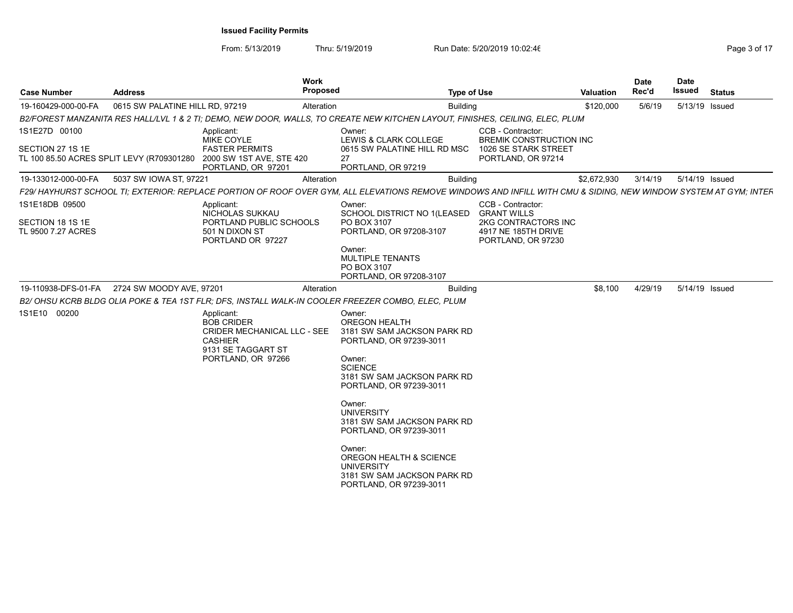| <b>Case Number</b>                                       | <b>Address</b>                                |                                                                                                                              | Work<br>Proposed |                                                                                                                                                                                                                                                                                                                                                                                      | <b>Type of Use</b> |                                                                                                             | <b>Valuation</b> | <b>Date</b><br>Rec'd | Date<br>Issued | Status         |
|----------------------------------------------------------|-----------------------------------------------|------------------------------------------------------------------------------------------------------------------------------|------------------|--------------------------------------------------------------------------------------------------------------------------------------------------------------------------------------------------------------------------------------------------------------------------------------------------------------------------------------------------------------------------------------|--------------------|-------------------------------------------------------------------------------------------------------------|------------------|----------------------|----------------|----------------|
| 19-160429-000-00-FA                                      | 0615 SW PALATINE HILL RD, 97219               |                                                                                                                              | Alteration       |                                                                                                                                                                                                                                                                                                                                                                                      | <b>Building</b>    |                                                                                                             | \$120,000        | 5/6/19               |                | 5/13/19 Issued |
|                                                          |                                               |                                                                                                                              |                  | B2/FOREST MANZANITA RES HALL/LVL 1 & 2 TI; DEMO, NEW DOOR, WALLS, TO CREATE NEW KITCHEN LAYOUT, FINISHES, CEILING, ELEC, PLUM                                                                                                                                                                                                                                                        |                    |                                                                                                             |                  |                      |                |                |
| 1S1E27D 00100<br>SECTION 27 1S 1E                        | TL 100 85.50 ACRES SPLIT LEVY (R709301280     | Applicant:<br>MIKE COYLE<br><b>FASTER PERMITS</b><br>2000 SW 1ST AVE, STE 420<br>PORTLAND, OR 97201                          |                  | Owner:<br>LEWIS & CLARK COLLEGE<br>0615 SW PALATINE HILL RD MSC<br>27<br>PORTLAND, OR 97219                                                                                                                                                                                                                                                                                          |                    | CCB - Contractor:<br><b>BREMIK CONSTRUCTION INC</b><br>1026 SE STARK STREET<br>PORTLAND, OR 97214           |                  |                      |                |                |
| 19-133012-000-00-FA                                      | 5037 SW IOWA ST, 97221                        |                                                                                                                              | Alteration       |                                                                                                                                                                                                                                                                                                                                                                                      | <b>Building</b>    |                                                                                                             | \$2,672,930      | 3/14/19              |                | 5/14/19 Issued |
|                                                          |                                               |                                                                                                                              |                  | F29/ HAYHURST SCHOOL TI; EXTERIOR: REPLACE PORTION OF ROOF OVER GYM, ALL ELEVATIONS REMOVE WINDOWS AND INFILL WITH CMU & SIDING, NEW WINDOW SYSTEM AT GYM; INTEF                                                                                                                                                                                                                     |                    |                                                                                                             |                  |                      |                |                |
| 1S1E18DB 09500<br>SECTION 18 1S 1E<br>TL 9500 7.27 ACRES |                                               | Applicant:<br>NICHOLAS SUKKAU<br>PORTLAND PUBLIC SCHOOLS<br>501 N DIXON ST<br>PORTLAND OR 97227                              |                  | Owner:<br>SCHOOL DISTRICT NO 1(LEASED<br>PO BOX 3107<br>PORTLAND, OR 97208-3107<br>Owner:<br>MULTIPLE TENANTS<br>PO BOX 3107<br>PORTLAND, OR 97208-3107                                                                                                                                                                                                                              |                    | CCB - Contractor:<br><b>GRANT WILLS</b><br>2KG CONTRACTORS INC<br>4917 NE 185TH DRIVE<br>PORTLAND, OR 97230 |                  |                      |                |                |
|                                                          | 19-110938-DFS-01-FA  2724 SW MOODY AVE, 97201 |                                                                                                                              | Alteration       |                                                                                                                                                                                                                                                                                                                                                                                      | <b>Building</b>    |                                                                                                             | \$8,100          | 4/29/19              |                | 5/14/19 Issued |
|                                                          |                                               |                                                                                                                              |                  | B2/OHSU KCRB BLDG OLIA POKE & TEA 1ST FLR; DFS, INSTALL WALK-IN COOLER FREEZER COMBO, ELEC, PLUM                                                                                                                                                                                                                                                                                     |                    |                                                                                                             |                  |                      |                |                |
| 1S1E10 00200                                             |                                               | Applicant:<br><b>BOB CRIDER</b><br>CRIDER MECHANICAL LLC - SEE<br><b>CASHIER</b><br>9131 SE TAGGART ST<br>PORTLAND, OR 97266 |                  | Owner:<br>OREGON HEALTH<br>3181 SW SAM JACKSON PARK RD<br>PORTLAND, OR 97239-3011<br>Owner:<br><b>SCIENCE</b><br>3181 SW SAM JACKSON PARK RD<br>PORTLAND, OR 97239-3011<br>Owner:<br><b>UNIVERSITY</b><br>3181 SW SAM JACKSON PARK RD<br>PORTLAND, OR 97239-3011<br>Owner:<br>OREGON HEALTH & SCIENCE<br><b>UNIVERSITY</b><br>3181 SW SAM JACKSON PARK RD<br>PORTLAND, OR 97239-3011 |                    |                                                                                                             |                  |                      |                |                |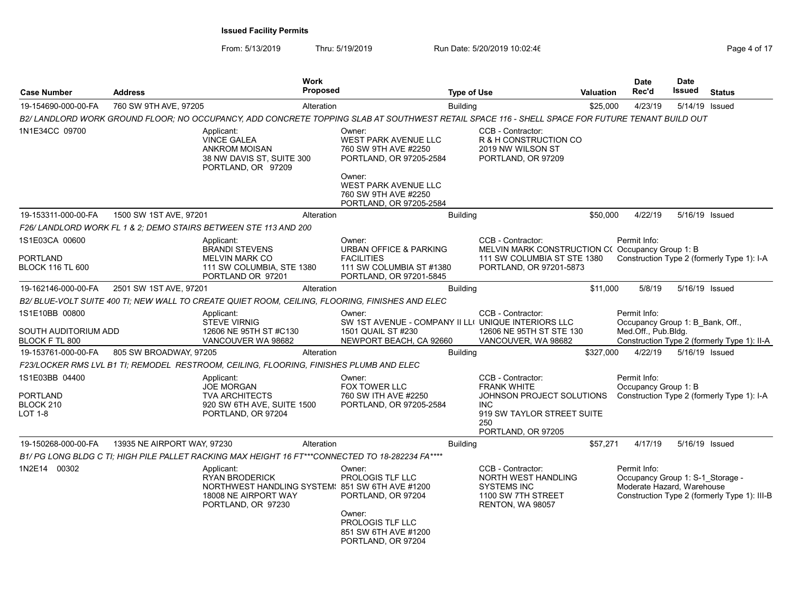| <b>Case Number</b>                                       | <b>Address</b>              |                                                                                                                                      | <b>Work</b><br><b>Proposed</b> |                                                                                                                                                                        | <b>Type of Use</b> |                                                                                                                                               | <b>Valuation</b> | <b>Date</b><br>Rec'd                                                           | <b>Date</b><br>Issued | <b>Status</b>                                |
|----------------------------------------------------------|-----------------------------|--------------------------------------------------------------------------------------------------------------------------------------|--------------------------------|------------------------------------------------------------------------------------------------------------------------------------------------------------------------|--------------------|-----------------------------------------------------------------------------------------------------------------------------------------------|------------------|--------------------------------------------------------------------------------|-----------------------|----------------------------------------------|
| 19-154690-000-00-FA                                      | 760 SW 9TH AVE, 97205       |                                                                                                                                      | Alteration                     |                                                                                                                                                                        | <b>Building</b>    |                                                                                                                                               | \$25,000         | 4/23/19                                                                        | 5/14/19 Issued        |                                              |
|                                                          |                             |                                                                                                                                      |                                | B2/ LANDLORD WORK GROUND FLOOR; NO OCCUPANCY, ADD CONCRETE TOPPING SLAB AT SOUTHWEST RETAIL SPACE 116 - SHELL SPACE FOR FUTURE TENANT BUILD OUT                        |                    |                                                                                                                                               |                  |                                                                                |                       |                                              |
| 1N1E34CC 09700                                           |                             | Applicant:<br><b>VINCE GALEA</b><br><b>ANKROM MOISAN</b><br>38 NW DAVIS ST, SUITE 300<br>PORTLAND, OR 97209                          |                                | Owner:<br>WEST PARK AVENUE LLC<br>760 SW 9TH AVE #2250<br>PORTLAND, OR 97205-2584<br>Owner:<br>WEST PARK AVENUE LLC<br>760 SW 9TH AVE #2250<br>PORTLAND, OR 97205-2584 |                    | CCB - Contractor:<br>R & H CONSTRUCTION CO<br>2019 NW WILSON ST<br>PORTLAND, OR 97209                                                         |                  |                                                                                |                       |                                              |
| 19-153311-000-00-FA                                      | 1500 SW 1ST AVE, 97201      |                                                                                                                                      | Alteration                     |                                                                                                                                                                        | <b>Building</b>    |                                                                                                                                               | \$50,000         | 4/22/19                                                                        | 5/16/19 Issued        |                                              |
|                                                          |                             | F26/ LANDLORD WORK FL 1 & 2: DEMO STAIRS BETWEEN STE 113 AND 200                                                                     |                                |                                                                                                                                                                        |                    |                                                                                                                                               |                  |                                                                                |                       |                                              |
| 1S1E03CA 00600<br>PORTLAND<br>BLOCK 116 TL 600           |                             | Applicant:<br><b>BRANDI STEVENS</b><br><b>MELVIN MARK CO</b><br>111 SW COLUMBIA, STE 1380<br>PORTLAND OR 97201                       |                                | Owner:<br><b>URBAN OFFICE &amp; PARKING</b><br><b>FACILITIES</b><br>111 SW COLUMBIA ST #1380<br>PORTLAND, OR 97201-5845                                                |                    | CCB - Contractor:<br>MELVIN MARK CONSTRUCTION C(Occupancy Group 1: B<br>111 SW COLUMBIA ST STE 1380<br>PORTLAND, OR 97201-5873                |                  | Permit Info:                                                                   |                       | Construction Type 2 (formerly Type 1): I-A   |
| 19-162146-000-00-FA                                      | 2501 SW 1ST AVE, 97201      |                                                                                                                                      | Alteration                     |                                                                                                                                                                        | <b>Building</b>    |                                                                                                                                               | \$11.000         | 5/8/19                                                                         | 5/16/19 Issued        |                                              |
|                                                          |                             |                                                                                                                                      |                                | B2/ BLUE-VOLT SUITE 400 TI; NEW WALL TO CREATE QUIET ROOM, CEILING, FLOORING, FINISHES AND ELEC                                                                        |                    |                                                                                                                                               |                  |                                                                                |                       |                                              |
| 1S1E10BB 00800<br>SOUTH AUDITORIUM ADD<br>BLOCK F TL 800 |                             | Applicant:<br><b>STEVE VIRNIG</b><br>12606 NE 95TH ST #C130<br>VANCOUVER WA 98682                                                    |                                | Owner:<br>SW 1ST AVENUE - COMPANY II LLI UNIQUE INTERIORS LLC<br>1501 QUAIL ST #230<br>NEWPORT BEACH, CA 92660                                                         |                    | CCB - Contractor:<br>12606 NE 95TH ST STE 130<br>VANCOUVER, WA 98682                                                                          |                  | Permit Info:<br>Occupancy Group 1: B Bank, Off.,<br>Med.Off., Pub.Bldg.        |                       | Construction Type 2 (formerly Type 1): II-A  |
| 19-153761-000-00-FA                                      | 805 SW BROADWAY, 97205      |                                                                                                                                      | Alteration                     |                                                                                                                                                                        | <b>Building</b>    |                                                                                                                                               | \$327,000        | 4/22/19                                                                        | 5/16/19 Issued        |                                              |
|                                                          |                             | F23/LOCKER RMS LVL B1 TI; REMODEL RESTROOM, CEILING, FLOORING, FINISHES PLUMB AND ELEC                                               |                                |                                                                                                                                                                        |                    |                                                                                                                                               |                  |                                                                                |                       |                                              |
| 1S1E03BB 04400<br>PORTLAND<br>BLOCK 210<br>LOT 1-8       |                             | Applicant:<br><b>JOE MORGAN</b><br><b>TVA ARCHITECTS</b><br>920 SW 6TH AVE, SUITE 1500<br>PORTLAND, OR 97204                         |                                | Owner:<br>FOX TOWER LLC<br>760 SW ITH AVE #2250<br>PORTLAND, OR 97205-2584                                                                                             |                    | CCB - Contractor:<br><b>FRANK WHITE</b><br>JOHNSON PROJECT SOLUTIONS<br><b>INC</b><br>919 SW TAYLOR STREET SUITE<br>250<br>PORTLAND, OR 97205 |                  | Permit Info:<br>Occupancy Group 1: B                                           |                       | Construction Type 2 (formerly Type 1): I-A   |
| 19-150268-000-00-FA                                      | 13935 NE AIRPORT WAY, 97230 |                                                                                                                                      | Alteration                     |                                                                                                                                                                        | <b>Building</b>    |                                                                                                                                               | \$57,271         | 4/17/19                                                                        | 5/16/19 Issued        |                                              |
|                                                          |                             | B1/PG LONG BLDG C TI; HIGH PILE PALLET RACKING MAX HEIGHT 16 FT***CONNECTED TO 18-282234 FA****                                      |                                |                                                                                                                                                                        |                    |                                                                                                                                               |                  |                                                                                |                       |                                              |
| 1N2E14 00302                                             |                             | Applicant:<br><b>RYAN BRODERICK</b><br>NORTHWEST HANDLING SYSTEM: 851 SW 6TH AVE #1200<br>18008 NE AIRPORT WAY<br>PORTLAND, OR 97230 |                                | Owner:<br><b>PROLOGIS TLF LLC</b><br>PORTLAND, OR 97204<br>Owner:<br>PROLOGIS TLF LLC                                                                                  |                    | CCB - Contractor:<br>NORTH WEST HANDLING<br><b>SYSTEMS INC</b><br>1100 SW 7TH STREET<br>RENTON, WA 98057                                      |                  | Permit Info:<br>Occupancy Group 1: S-1 Storage -<br>Moderate Hazard, Warehouse |                       | Construction Type 2 (formerly Type 1): III-B |
|                                                          |                             |                                                                                                                                      |                                | 851 SW 6TH AVE #1200<br>PORTLAND, OR 97204                                                                                                                             |                    |                                                                                                                                               |                  |                                                                                |                       |                                              |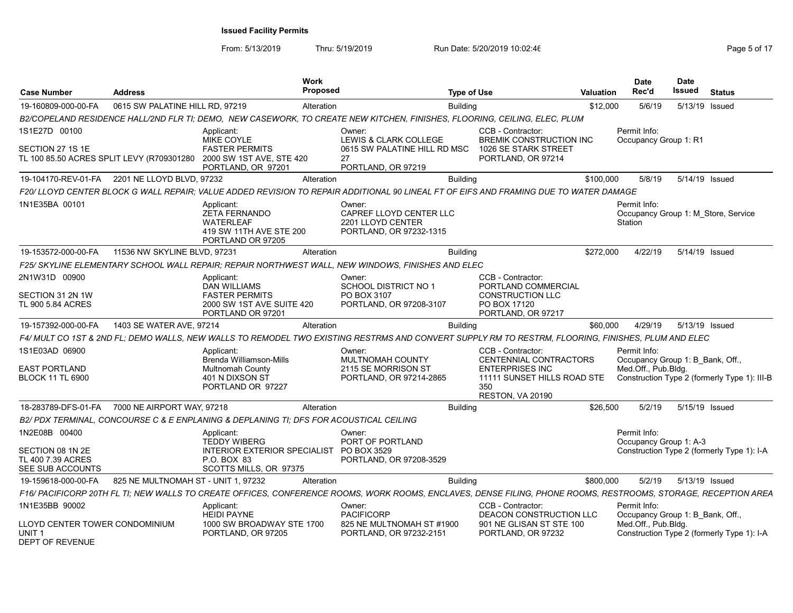| <b>Case Number</b>                                                            | <b>Address</b>                      |                                                                                                        | Work<br>Proposed |                                                                                                                                                                | <b>Type of Use</b> |                                                        | Valuation | <b>Date</b><br>Rec'd                                    | <b>Date</b><br>Issued | <b>Status</b>                                |
|-------------------------------------------------------------------------------|-------------------------------------|--------------------------------------------------------------------------------------------------------|------------------|----------------------------------------------------------------------------------------------------------------------------------------------------------------|--------------------|--------------------------------------------------------|-----------|---------------------------------------------------------|-----------------------|----------------------------------------------|
| 19-160809-000-00-FA                                                           | 0615 SW PALATINE HILL RD, 97219     |                                                                                                        | Alteration       |                                                                                                                                                                | <b>Building</b>    |                                                        | \$12,000  | 5/6/19                                                  |                       | 5/13/19 Issued                               |
|                                                                               |                                     |                                                                                                        |                  | B2/COPELAND RESIDENCE HALL/2ND FLR TI; DEMO, NEW CASEWORK, TO CREATE NEW KITCHEN, FINISHES, FLOORING, CEILING, ELEC, PLUM                                      |                    |                                                        |           |                                                         |                       |                                              |
| 1S1E27D 00100                                                                 |                                     | Applicant:<br>MIKE COYLE                                                                               |                  | Owner:<br>LEWIS & CLARK COLLEGE                                                                                                                                |                    | CCB - Contractor:<br>BREMIK CONSTRUCTION INC           |           | Permit Info:<br>Occupancy Group 1: R1                   |                       |                                              |
| SECTION 27 1S 1E                                                              |                                     | <b>FASTER PERMITS</b>                                                                                  |                  | 0615 SW PALATINE HILL RD MSC                                                                                                                                   |                    | 1026 SE STARK STREET                                   |           |                                                         |                       |                                              |
| TL 100 85.50 ACRES SPLIT LEVY (R709301280                                     |                                     | 2000 SW 1ST AVE, STE 420<br>PORTLAND, OR 97201                                                         |                  | 27<br>PORTLAND, OR 97219                                                                                                                                       |                    | PORTLAND, OR 97214                                     |           |                                                         |                       |                                              |
| 19-104170-REV-01-FA                                                           | 2201 NE LLOYD BLVD, 97232           |                                                                                                        | Alteration       |                                                                                                                                                                | <b>Building</b>    |                                                        | \$100.000 | 5/8/19                                                  |                       | 5/14/19 Issued                               |
|                                                                               |                                     |                                                                                                        |                  | F20/ LLOYD CENTER BLOCK G WALL REPAIR; VALUE ADDED REVISION TO REPAIR ADDITIONAL 90 LINEAL FT OF EIFS AND FRAMING DUE TO WATER DAMAGE                          |                    |                                                        |           |                                                         |                       |                                              |
| 1N1E35BA 00101                                                                |                                     | Applicant:<br><b>ZETA FERNANDO</b><br><b>WATERLEAF</b><br>419 SW 11TH AVE STE 200<br>PORTLAND OR 97205 |                  | Owner:<br>CAPREF LLOYD CENTER LLC<br>2201 LLOYD CENTER<br>PORTLAND, OR 97232-1315                                                                              |                    |                                                        |           | Permit Info:<br>Station                                 |                       | Occupancy Group 1: M Store, Service          |
| 19-153572-000-00-FA                                                           | 11536 NW SKYLINE BLVD, 97231        |                                                                                                        | Alteration       |                                                                                                                                                                | <b>Building</b>    |                                                        | \$272,000 | 4/22/19                                                 |                       | 5/14/19 Issued                               |
|                                                                               |                                     |                                                                                                        |                  | F25/ SKYLINE ELEMENTARY SCHOOL WALL REPAIR; REPAIR NORTHWEST WALL, NEW WINDOWS, FINISHES AND ELEC                                                              |                    |                                                        |           |                                                         |                       |                                              |
| 2N1W31D 00900                                                                 |                                     | Applicant:<br><b>DAN WILLIAMS</b>                                                                      |                  | Owner:<br>SCHOOL DISTRICT NO 1                                                                                                                                 |                    | CCB - Contractor:<br>PORTLAND COMMERCIAL               |           |                                                         |                       |                                              |
| SECTION 31 2N 1W                                                              |                                     | <b>FASTER PERMITS</b>                                                                                  |                  | PO BOX 3107                                                                                                                                                    |                    | <b>CONSTRUCTION LLC</b>                                |           |                                                         |                       |                                              |
| TL 900 5.84 ACRES                                                             |                                     | 2000 SW 1ST AVE SUITE 420<br>PORTLAND OR 97201                                                         |                  | PORTLAND, OR 97208-3107                                                                                                                                        |                    | PO BOX 17120<br>PORTLAND, OR 97217                     |           |                                                         |                       |                                              |
| 19-157392-000-00-FA                                                           | 1403 SE WATER AVE, 97214            |                                                                                                        | Alteration       |                                                                                                                                                                | <b>Building</b>    |                                                        | \$60,000  | 4/29/19                                                 |                       | 5/13/19 Issued                               |
|                                                                               |                                     |                                                                                                        |                  | F4/ MULT CO 1ST & 2ND FL; DEMO WALLS, NEW WALLS TO REMODEL TWO EXISTING RESTRMS AND CONVERT SUPPLY RM TO RESTRM, FLOORING, FINISHES, PLUM AND ELEC             |                    |                                                        |           |                                                         |                       |                                              |
| 1S1E03AD 06900                                                                |                                     | Applicant:                                                                                             |                  | Owner:                                                                                                                                                         |                    | CCB - Contractor:                                      |           | Permit Info:                                            |                       |                                              |
| <b>EAST PORTLAND</b>                                                          |                                     | Brenda Williamson-Mills<br><b>Multnomah County</b>                                                     |                  | MULTNOMAH COUNTY<br>2115 SE MORRISON ST                                                                                                                        |                    | CENTENNIAL CONTRACTORS<br><b>ENTERPRISES INC</b>       |           | Occupancy Group 1: B Bank, Off.,<br>Med.Off., Pub.Bldg. |                       |                                              |
| <b>BLOCK 11 TL 6900</b>                                                       |                                     | 401 N DIXSON ST<br>PORTLAND OR 97227                                                                   |                  | PORTLAND, OR 97214-2865                                                                                                                                        |                    | 11111 SUNSET HILLS ROAD STE<br>350<br>RESTON, VA 20190 |           |                                                         |                       | Construction Type 2 (formerly Type 1): III-B |
| 18-283789-DFS-01-FA                                                           | 7000 NE AIRPORT WAY, 97218          |                                                                                                        | Alteration       |                                                                                                                                                                | <b>Building</b>    |                                                        | \$26,500  | 5/2/19                                                  |                       | 5/15/19 Issued                               |
|                                                                               |                                     | B2/ PDX TERMINAL, CONCOURSE C & E ENPLANING & DEPLANING TI; DFS FOR ACOUSTICAL CEILING                 |                  |                                                                                                                                                                |                    |                                                        |           |                                                         |                       |                                              |
| 1N2E08B 00400                                                                 |                                     | Applicant:<br><b>TEDDY WIBERG</b>                                                                      |                  | Owner:<br>PORT OF PORTLAND                                                                                                                                     |                    |                                                        |           | Permit Info:<br>Occupancy Group 1: A-3                  |                       |                                              |
| SECTION 08 1N 2E                                                              |                                     | INTERIOR EXTERIOR SPECIALIST PO BOX 3529                                                               |                  |                                                                                                                                                                |                    |                                                        |           |                                                         |                       | Construction Type 2 (formerly Type 1): I-A   |
| TL 400 7.39 ACRES<br>SEE SUB ACCOUNTS                                         |                                     | P.O. BOX 83<br>SCOTTS MILLS, OR 97375                                                                  |                  | PORTLAND, OR 97208-3529                                                                                                                                        |                    |                                                        |           |                                                         |                       |                                              |
| 19-159618-000-00-FA                                                           | 825 NE MULTNOMAH ST - UNIT 1, 97232 |                                                                                                        | Alteration       |                                                                                                                                                                | <b>Building</b>    |                                                        | \$800,000 | 5/2/19                                                  |                       | 5/13/19 Issued                               |
|                                                                               |                                     |                                                                                                        |                  | F16/ PACIFICORP 20TH FL TI; NEW WALLS TO CREATE OFFICES, CONFERENCE ROOMS, WORK ROOMS, ENCLAVES, DENSE FILING, PHONE ROOMS, RESTROOMS, STORAGE, RECEPTION AREA |                    |                                                        |           |                                                         |                       |                                              |
| 1N1E35BB 90002                                                                |                                     | Applicant:                                                                                             |                  | Owner:                                                                                                                                                         |                    | CCB - Contractor:                                      |           | Permit Info:                                            |                       |                                              |
|                                                                               |                                     | <b>HEIDI PAYNE</b>                                                                                     |                  | PACIFICORP                                                                                                                                                     |                    | DEACON CONSTRUCTION LLC                                |           | Occupancy Group 1: B Bank, Off.,                        |                       |                                              |
| LLOYD CENTER TOWER CONDOMINIUM<br>UNIT <sub>1</sub><br><b>DEPT OF REVENUE</b> |                                     | 1000 SW BROADWAY STE 1700<br>PORTLAND, OR 97205                                                        |                  | 825 NE MULTNOMAH ST #1900<br>PORTLAND, OR 97232-2151                                                                                                           |                    | 901 NE GLISAN ST STE 100<br>PORTLAND, OR 97232         |           | Med.Off., Pub.Bldg.                                     |                       | Construction Type 2 (formerly Type 1): I-A   |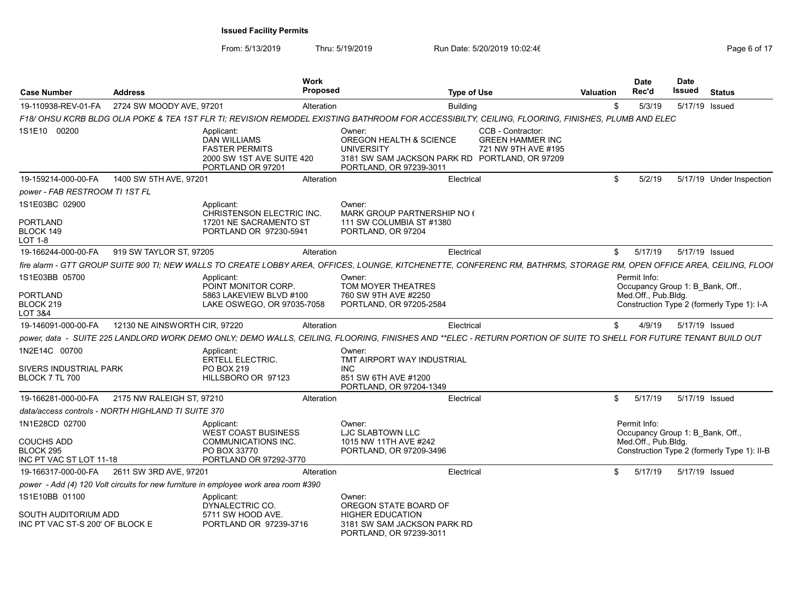| <b>Case Number</b>                                        | <b>Address</b>                                     | Work                                                                                                         | <b>Proposed</b>                                                                                       | <b>Type of Use</b>                                                                                                                                                     | <b>Valuation</b> | <b>Date</b><br>Rec'd                                                    | <b>Date</b><br>Issued | <b>Status</b>                               |
|-----------------------------------------------------------|----------------------------------------------------|--------------------------------------------------------------------------------------------------------------|-------------------------------------------------------------------------------------------------------|------------------------------------------------------------------------------------------------------------------------------------------------------------------------|------------------|-------------------------------------------------------------------------|-----------------------|---------------------------------------------|
| 19-110938-REV-01-FA                                       | 2724 SW MOODY AVE, 97201                           | Alteration                                                                                                   |                                                                                                       | <b>Building</b>                                                                                                                                                        | \$               | 5/3/19                                                                  | 5/17/19 Issued        |                                             |
|                                                           |                                                    |                                                                                                              |                                                                                                       | F18/ OHSU KCRB BLDG OLIA POKE & TEA 1ST FLR TI; REVISION REMODEL EXISTING BATHROOM FOR ACCESSIBILTY, CEILING, FLOORING, FINISHES, PLUMB AND ELEC                       |                  |                                                                         |                       |                                             |
| 1S1E10 00200                                              |                                                    | Applicant:<br><b>DAN WILLIAMS</b><br><b>FASTER PERMITS</b><br>2000 SW 1ST AVE SUITE 420<br>PORTLAND OR 97201 | Owner:<br><b>OREGON HEALTH &amp; SCIENCE</b><br><b>UNIVERSITY</b><br>PORTLAND, OR 97239-3011          | CCB - Contractor:<br><b>GREEN HAMMER INC</b><br>721 NW 9TH AVE #195<br>3181 SW SAM JACKSON PARK RD PORTLAND, OR 97209                                                  |                  |                                                                         |                       |                                             |
| 19-159214-000-00-FA                                       | 1400 SW 5TH AVE, 97201                             | Alteration                                                                                                   |                                                                                                       | Electrical                                                                                                                                                             | \$               | 5/2/19                                                                  |                       | 5/17/19 Under Inspection                    |
| power - FAB RESTROOM TI 1ST FL                            |                                                    |                                                                                                              |                                                                                                       |                                                                                                                                                                        |                  |                                                                         |                       |                                             |
| 1S1E03BC 02900                                            |                                                    | Applicant:<br><b>CHRISTENSON ELECTRIC INC.</b>                                                               | Owner:<br>MARK GROUP PARTNERSHIP NO (                                                                 |                                                                                                                                                                        |                  |                                                                         |                       |                                             |
| <b>PORTLAND</b><br>BLOCK 149<br><b>LOT 1-8</b>            |                                                    | 17201 NE SACRAMENTO ST<br>PORTLAND OR 97230-5941                                                             | 111 SW COLUMBIA ST #1380<br>PORTLAND, OR 97204                                                        |                                                                                                                                                                        |                  |                                                                         |                       |                                             |
| 19-166244-000-00-FA                                       | 919 SW TAYLOR ST, 97205                            |                                                                                                              | Alteration                                                                                            | Electrical                                                                                                                                                             | \$               | 5/17/19                                                                 | 5/17/19 Issued        |                                             |
|                                                           |                                                    |                                                                                                              |                                                                                                       | fire alarm - GTT GROUP SUITE 900 TI; NEW WALLS TO CREATE LOBBY AREA, OFFICES, LOUNGE, KITCHENETTE, CONFERENC RM, BATHRMS, STORAGE RM, OPEN OFFICE AREA, CEILING, FLOOI |                  |                                                                         |                       |                                             |
| 1S1E03BB 05700<br><b>PORTLAND</b><br>BLOCK 219<br>LOT 3&4 |                                                    | Applicant:<br>POINT MONITOR CORP.<br>5863 LAKEVIEW BLVD #100<br>LAKE OSWEGO, OR 97035-7058                   | Owner:<br>TOM MOYER THEATRES<br>760 SW 9TH AVE #2250<br>PORTLAND, OR 97205-2584                       |                                                                                                                                                                        |                  | Permit Info:<br>Occupancy Group 1: B Bank, Off.,<br>Med.Off., Pub.Bldg. |                       | Construction Type 2 (formerly Type 1): I-A  |
| 19-146091-000-00-FA                                       | 12130 NE AINSWORTH CIR, 97220                      | Alteration                                                                                                   |                                                                                                       | Electrical                                                                                                                                                             | \$               | 4/9/19                                                                  | 5/17/19 Issued        |                                             |
|                                                           |                                                    |                                                                                                              |                                                                                                       | power, data - SUITE 225 LANDLORD WORK DEMO ONLY; DEMO WALLS, CEILING, FLOORING, FINISHES AND **ELEC - RETURN PORTION OF SUITE TO SHELL FOR FUTURE TENANT BUILD OUT     |                  |                                                                         |                       |                                             |
| 1N2E14C 00700<br>SIVERS INDUSTRIAL PARK<br>BLOCK 7 TL 700 |                                                    | Applicant:<br><b>ERTELL ELECTRIC.</b><br>PO BOX 219<br>HILLSBORO OR 97123                                    | Owner:<br>TMT AIRPORT WAY INDUSTRIAL<br><b>INC</b><br>851 SW 6TH AVE #1200<br>PORTLAND, OR 97204-1349 |                                                                                                                                                                        |                  |                                                                         |                       |                                             |
| 19-166281-000-00-FA                                       | 2175 NW RALEIGH ST, 97210                          | Alteration                                                                                                   |                                                                                                       | Electrical                                                                                                                                                             | \$               | 5/17/19                                                                 | 5/17/19 Issued        |                                             |
|                                                           | data/access controls - NORTH HIGHLAND TI SUITE 370 |                                                                                                              |                                                                                                       |                                                                                                                                                                        |                  |                                                                         |                       |                                             |
| 1N1E28CD 02700<br><b>COUCHS ADD</b>                       |                                                    | Applicant:<br><b>WEST COAST BUSINESS</b><br>COMMUNICATIONS INC.                                              | Owner:<br>LJC SLABTOWN LLC<br>1015 NW 11TH AVE #242                                                   |                                                                                                                                                                        |                  | Permit Info:<br>Occupancy Group 1: B Bank, Off.,<br>Med.Off., Pub.Bldg. |                       |                                             |
| BLOCK 295<br>INC PT VAC ST LOT 11-18                      |                                                    | PO BOX 33770<br>PORTLAND OR 97292-3770                                                                       | PORTLAND, OR 97209-3496                                                                               |                                                                                                                                                                        |                  |                                                                         |                       | Construction Type 2 (formerly Type 1): II-B |
| 19-166317-000-00-FA                                       | 2611 SW 3RD AVE, 97201                             |                                                                                                              | Alteration                                                                                            | Electrical                                                                                                                                                             | \$               | 5/17/19                                                                 | 5/17/19 Issued        |                                             |
|                                                           |                                                    | power - Add (4) 120 Volt circuits for new furniture in employee work area room #390                          |                                                                                                       |                                                                                                                                                                        |                  |                                                                         |                       |                                             |
| 1S1E10BB 01100                                            |                                                    | Applicant:<br>DYNALECTRIC CO.                                                                                | Owner:<br>OREGON STATE BOARD OF                                                                       |                                                                                                                                                                        |                  |                                                                         |                       |                                             |
| SOUTH AUDITORIUM ADD<br>INC PT VAC ST-S 200' OF BLOCK E   |                                                    | 5711 SW HOOD AVE.<br>PORTLAND OR 97239-3716                                                                  | <b>HIGHER EDUCATION</b><br>3181 SW SAM JACKSON PARK RD<br>PORTLAND, OR 97239-3011                     |                                                                                                                                                                        |                  |                                                                         |                       |                                             |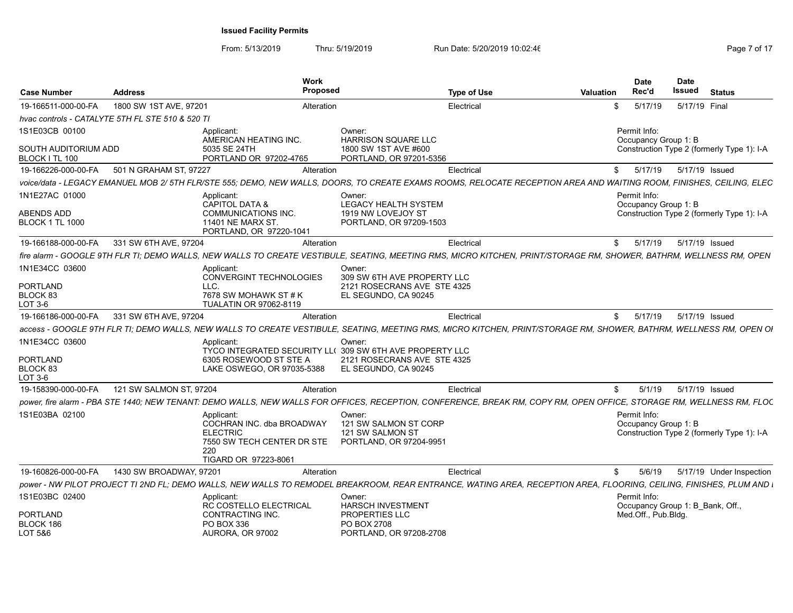|                                        |                                                  | <b>Work</b>                                                                                                                                                           |                                                                                |                    |                  | Date                                                                               | <b>Date</b> |                |                          |
|----------------------------------------|--------------------------------------------------|-----------------------------------------------------------------------------------------------------------------------------------------------------------------------|--------------------------------------------------------------------------------|--------------------|------------------|------------------------------------------------------------------------------------|-------------|----------------|--------------------------|
| <b>Case Number</b>                     | <b>Address</b>                                   | Proposed                                                                                                                                                              |                                                                                | <b>Type of Use</b> | <b>Valuation</b> | Rec'd                                                                              | Issued      | <b>Status</b>  |                          |
| 19-166511-000-00-FA                    | 1800 SW 1ST AVE, 97201                           | Alteration                                                                                                                                                            |                                                                                | Electrical         | \$               | 5/17/19                                                                            |             | 5/17/19 Final  |                          |
|                                        | hvac controls - CATALYTE 5TH FL STE 510 & 520 TI |                                                                                                                                                                       |                                                                                |                    |                  |                                                                                    |             |                |                          |
| 1S1E03CB 00100                         |                                                  | Applicant:<br>AMERICAN HEATING INC.                                                                                                                                   | Owner:<br><b>HARRISON SQUARE LLC</b>                                           |                    |                  | Permit Info:<br>Occupancy Group 1: B                                               |             |                |                          |
| SOUTH AUDITORIUM ADD<br>BLOCK I TL 100 |                                                  | 5035 SE 24TH<br>PORTLAND OR 97202-4765                                                                                                                                | 1800 SW 1ST AVE #600<br>PORTLAND, OR 97201-5356                                |                    |                  | Construction Type 2 (formerly Type 1): I-A                                         |             |                |                          |
| 19-166226-000-00-FA                    | 501 N GRAHAM ST, 97227                           | Alteration                                                                                                                                                            |                                                                                | Electrical         | \$               | 5/17/19                                                                            |             | 5/17/19 Issued |                          |
|                                        |                                                  | voice/data - LEGACY EMANUEL MOB 2/ 5TH FLR/STE 555; DEMO, NEW WALLS, DOORS, TO CREATE EXAMS ROOMS, RELOCATE RECEPTION AREA AND WAITING ROOM, FINISHES, CEILING, ELEC  |                                                                                |                    |                  |                                                                                    |             |                |                          |
| 1N1E27AC 01000                         |                                                  | Applicant:<br><b>CAPITOL DATA &amp;</b>                                                                                                                               | Owner:<br>LEGACY HEALTH SYSTEM                                                 |                    |                  | Permit Info:<br>Occupancy Group 1: B                                               |             |                |                          |
| ABENDS ADD<br><b>BLOCK 1 TL 1000</b>   |                                                  | <b>COMMUNICATIONS INC.</b><br>11401 NE MARX ST.<br>PORTLAND, OR 97220-1041                                                                                            | 1919 NW LOVEJOY ST<br>PORTLAND, OR 97209-1503                                  |                    |                  | Construction Type 2 (formerly Type 1): I-A                                         |             |                |                          |
| 19-166188-000-00-FA                    | 331 SW 6TH AVE, 97204                            | Alteration                                                                                                                                                            |                                                                                | Electrical         | \$               | 5/17/19                                                                            |             | 5/17/19 Issued |                          |
|                                        |                                                  | fire alarm - GOOGLE 9TH FLR TI: DEMO WALLS. NEW WALLS TO CREATE VESTIBULE. SEATING, MEETING RMS, MICRO KITCHEN, PRINT/STORAGE RM, SHOWER, BATHRM, WELLNESS RM, OPEN   |                                                                                |                    |                  |                                                                                    |             |                |                          |
| 1N1E34CC 03600                         |                                                  | Applicant<br>CONVERGINT TECHNOLOGIES                                                                                                                                  | Owner:<br>309 SW 6TH AVE PROPERTY LLC                                          |                    |                  |                                                                                    |             |                |                          |
| PORTLAND<br>BLOCK 83<br>LOT 3-6        |                                                  | LLC.<br>7678 SW MOHAWK ST # K<br>TUALATIN OR 97062-8119                                                                                                               | 2121 ROSECRANS AVE STE 4325<br>EL SEGUNDO, CA 90245                            |                    |                  |                                                                                    |             |                |                          |
| 19-166186-000-00-FA                    | 331 SW 6TH AVE, 97204                            | Alteration                                                                                                                                                            |                                                                                | Electrical         | \$               | 5/17/19                                                                            |             | 5/17/19 Issued |                          |
|                                        |                                                  | access - GOOGLE 9TH FLR TI: DEMO WALLS. NEW WALLS TO CREATE VESTIBULE. SEATING. MEETING RMS. MICRO KITCHEN. PRINT/STORAGE RM. SHOWER. BATHRM. WELLNESS RM. OPEN OI    |                                                                                |                    |                  |                                                                                    |             |                |                          |
| 1N1E34CC 03600                         |                                                  | Applicant<br>TYCO INTEGRATED SECURITY LL( 309 SW 6TH AVE PROPERTY LLC                                                                                                 | Owner:                                                                         |                    |                  |                                                                                    |             |                |                          |
| PORTLAND<br>BLOCK 83<br>LOT 3-6        |                                                  | 6305 ROSEWOOD ST STE A<br>LAKE OSWEGO, OR 97035-5388                                                                                                                  | 2121 ROSECRANS AVE STE 4325<br>EL SEGUNDO, CA 90245                            |                    |                  |                                                                                    |             |                |                          |
| 19-158390-000-00-FA                    | 121 SW SALMON ST. 97204                          | Alteration                                                                                                                                                            |                                                                                | Electrical         | \$               | 5/1/19                                                                             |             | 5/17/19 Issued |                          |
|                                        |                                                  | power, fire alarm - PBA STE 1440; NEW TENANT: DEMO WALLS, NEW WALLS FOR OFFICES, RECEPTION, CONFERENCE, BREAK RM, COPY RM, OPEN OFFICE, STORAGE RM, WELLNESS RM, FLOC |                                                                                |                    |                  |                                                                                    |             |                |                          |
| 1S1E03BA 02100                         |                                                  | Applicant:<br>COCHRAN INC. dba BROADWAY<br><b>ELECTRIC</b><br>7550 SW TECH CENTER DR STE<br>220<br>TIGARD OR 97223-8061                                               | Owner:<br>121 SW SALMON ST CORP<br>121 SW SALMON ST<br>PORTLAND, OR 97204-9951 |                    |                  | Permit Info:<br>Occupancy Group 1: B<br>Construction Type 2 (formerly Type 1): I-A |             |                |                          |
| 19-160826-000-00-FA                    | 1430 SW BROADWAY, 97201                          | Alteration                                                                                                                                                            |                                                                                | Electrical         | \$               | 5/6/19                                                                             |             |                | 5/17/19 Under Inspection |
|                                        |                                                  | power - NW PILOT PROJECT TI 2ND FL; DEMO WALLS, NEW WALLS TO REMODEL BREAKROOM, REAR ENTRANCE, WATING AREA, RECEPTION AREA, FLOORING, CEILING, FINISHES, PLUM AND I   |                                                                                |                    |                  |                                                                                    |             |                |                          |
| 1S1E03BC 02400                         |                                                  | Applicant:<br>RC COSTELLO ELECTRICAL                                                                                                                                  | Owner:<br><b>HARSCH INVESTMENT</b>                                             |                    |                  | Permit Info:<br>Occupancy Group 1: B Bank, Off.,                                   |             |                |                          |
| PORTLAND<br>BLOCK 186<br>LOT 5&6       |                                                  | CONTRACTING INC.<br>PO BOX 336<br>AURORA, OR 97002                                                                                                                    | PROPERTIES LLC<br><b>PO BOX 2708</b><br>PORTLAND, OR 97208-2708                |                    |                  | Med.Off., Pub.Bldg.                                                                |             |                |                          |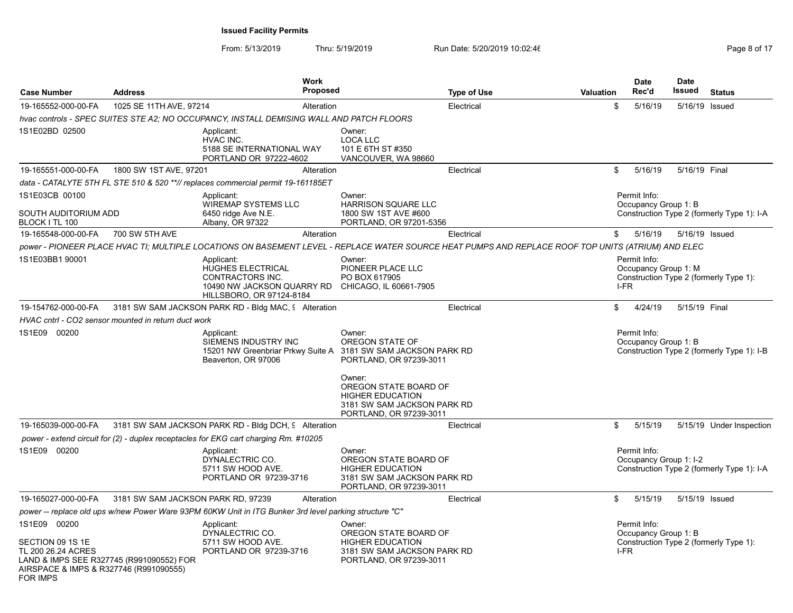| <b>Case Number</b>                                                                                                                       | <b>Address</b>                     | <b>Work</b><br><b>Proposed</b>                                                                                                                     |                                                                                                                      | <b>Type of Use</b> | <b>Valuation</b> | <b>Date</b><br>Rec'd                         | <b>Date</b><br>Issued | <b>Status</b>                              |
|------------------------------------------------------------------------------------------------------------------------------------------|------------------------------------|----------------------------------------------------------------------------------------------------------------------------------------------------|----------------------------------------------------------------------------------------------------------------------|--------------------|------------------|----------------------------------------------|-----------------------|--------------------------------------------|
| 19-165552-000-00-FA                                                                                                                      | 1025 SE 11TH AVE, 97214            | Alteration                                                                                                                                         |                                                                                                                      | Electrical         | \$               | 5/16/19                                      | 5/16/19 Issued        |                                            |
|                                                                                                                                          |                                    | hvac controls - SPEC SUITES STE A2; NO OCCUPANCY, INSTALL DEMISING WALL AND PATCH FLOORS                                                           |                                                                                                                      |                    |                  |                                              |                       |                                            |
| 1S1E02BD 02500                                                                                                                           |                                    | Applicant:<br>HVAC INC.<br>5188 SE INTERNATIONAL WAY<br>PORTLAND OR 97222-4602                                                                     | Owner:<br><b>LOCA LLC</b><br>101 E 6TH ST #350<br>VANCOUVER, WA 98660                                                |                    |                  |                                              |                       |                                            |
| 19-165551-000-00-FA                                                                                                                      | 1800 SW 1ST AVE, 97201             | Alteration                                                                                                                                         |                                                                                                                      | Electrical         | \$               | 5/16/19                                      | 5/16/19 Final         |                                            |
|                                                                                                                                          |                                    | data - CATALYTE 5TH FL STE 510 & 520 **// replaces commercial permit 19-161185ET                                                                   |                                                                                                                      |                    |                  |                                              |                       |                                            |
| 1S1E03CB 00100<br><b>SOUTH AUDITORIUM ADD</b><br>BLOCK I TL 100                                                                          |                                    | Applicant:<br><b>WIREMAP SYSTEMS LLC</b><br>6450 ridge Ave N.E.<br>Albany, OR 97322                                                                | Owner:<br><b>HARRISON SQUARE LLC</b><br>1800 SW 1ST AVE #600<br>PORTLAND, OR 97201-5356                              |                    |                  | Permit Info:<br>Occupancy Group 1: B         |                       | Construction Type 2 (formerly Type 1): I-A |
| 19-165548-000-00-FA                                                                                                                      | 700 SW 5TH AVE                     | Alteration                                                                                                                                         |                                                                                                                      | Electrical         | \$               | 5/16/19                                      | 5/16/19 Issued        |                                            |
|                                                                                                                                          |                                    | power - PIONEER PLACE HVAC TI; MULTIPLE LOCATIONS ON BASEMENT LEVEL - REPLACE WATER SOURCE HEAT PUMPS AND REPLACE ROOF TOP UNITS (ATRIUM) AND ELEC |                                                                                                                      |                    |                  |                                              |                       |                                            |
| 1S1E03BB1 90001                                                                                                                          |                                    | Applicant:<br>HUGHES ELECTRICAL<br>CONTRACTORS INC.<br>10490 NW JACKSON QUARRY RD<br>HILLSBORO, OR 97124-8184                                      | Owner:<br>PIONEER PLACE LLC<br>PO BOX 617905<br>CHICAGO, IL 60661-7905                                               |                    |                  | Permit Info:<br>Occupancy Group 1: M<br>I-FR |                       | Construction Type 2 (formerly Type 1):     |
| 19-154762-000-00-FA                                                                                                                      |                                    | 3181 SW SAM JACKSON PARK RD - Bldg MAC, 9 Alteration                                                                                               |                                                                                                                      | Electrical         | \$               | 4/24/19                                      | 5/15/19 Final         |                                            |
| HVAC cntrl - CO2 sensor mounted in return duct work                                                                                      |                                    |                                                                                                                                                    |                                                                                                                      |                    |                  |                                              |                       |                                            |
| 1S1E09 00200                                                                                                                             |                                    | Applicant:<br>SIEMENS INDUSTRY INC<br>15201 NW Greenbriar Prkwy Suite A 3181 SW SAM JACKSON PARK RD<br>Beaverton, OR 97006                         | Owner:<br>OREGON STATE OF<br>PORTLAND, OR 97239-3011<br>Owner:                                                       |                    |                  | Permit Info:<br>Occupancy Group 1: B         |                       | Construction Type 2 (formerly Type 1): I-B |
|                                                                                                                                          |                                    |                                                                                                                                                    | OREGON STATE BOARD OF<br><b>HIGHER EDUCATION</b><br>3181 SW SAM JACKSON PARK RD<br>PORTLAND, OR 97239-3011           |                    |                  |                                              |                       |                                            |
| 19-165039-000-00-FA                                                                                                                      |                                    | 3181 SW SAM JACKSON PARK RD - Bldg DCH, 9 Alteration                                                                                               |                                                                                                                      | Electrical         | \$               | 5/15/19                                      |                       | 5/15/19 Under Inspection                   |
|                                                                                                                                          |                                    | power - extend circuit for (2) - duplex receptacles for EKG cart charging Rm. #10205                                                               |                                                                                                                      |                    |                  |                                              |                       |                                            |
| 1S1E09 00200                                                                                                                             |                                    | Applicant:<br>DYNALECTRIC CO.<br>5711 SW HOOD AVE.<br>PORTLAND OR 97239-3716                                                                       | Owner:<br>OREGON STATE BOARD OF<br><b>HIGHER EDUCATION</b><br>3181 SW SAM JACKSON PARK RD<br>PORTLAND, OR 97239-3011 |                    |                  | Permit Info:<br>Occupancy Group 1: I-2       |                       | Construction Type 2 (formerly Type 1): I-A |
| 19-165027-000-00-FA                                                                                                                      | 3181 SW SAM JACKSON PARK RD, 97239 | Alteration                                                                                                                                         |                                                                                                                      | Electrical         | \$               | 5/15/19                                      | 5/15/19 Issued        |                                            |
|                                                                                                                                          |                                    | "power -- replace old ups w/new Power Ware 93PM 60KW Unit in ITG Bunker 3rd level parking structure "C                                             |                                                                                                                      |                    |                  |                                              |                       |                                            |
| 1S1E09 00200                                                                                                                             |                                    | Applicant:<br>DYNALECTRIC CO.                                                                                                                      | Owner:<br>OREGON STATE BOARD OF                                                                                      |                    |                  | Permit Info:<br>Occupancy Group 1: B         |                       |                                            |
| SECTION 09 1S 1E<br>TL 200 26.24 ACRES<br>LAND & IMPS SEE R327745 (R991090552) FOR<br>AIRSPACE & IMPS & R327746 (R991090555)<br>FOR IMPS |                                    | 5711 SW HOOD AVE.<br>PORTLAND OR 97239-3716                                                                                                        | <b>HIGHER EDUCATION</b><br>3181 SW SAM JACKSON PARK RD<br>PORTLAND, OR 97239-3011                                    |                    |                  | I-FR                                         |                       | Construction Type 2 (formerly Type 1):     |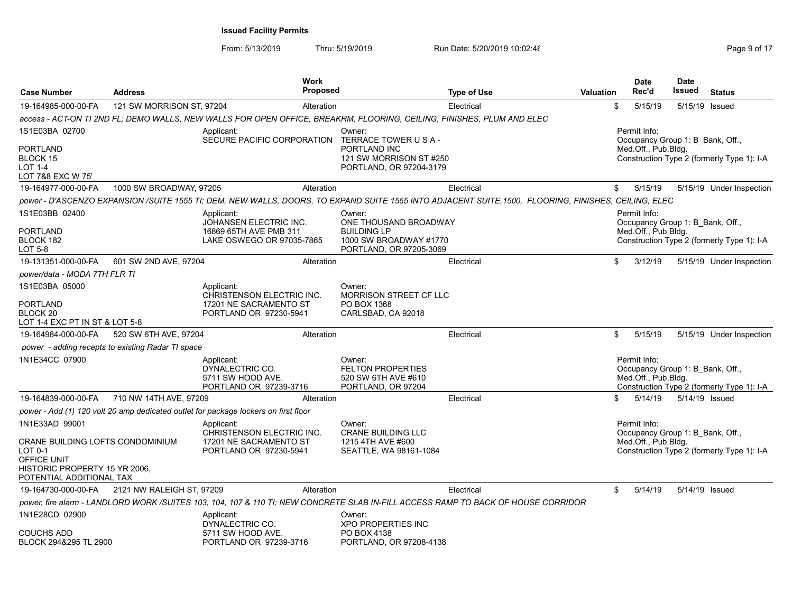|                                                                          |                                                   |                                                                                                                                                     | <b>Work</b>     |                                                                                 |                    |                  | <b>Date</b>                                                             | <b>Date</b>    |                                            |
|--------------------------------------------------------------------------|---------------------------------------------------|-----------------------------------------------------------------------------------------------------------------------------------------------------|-----------------|---------------------------------------------------------------------------------|--------------------|------------------|-------------------------------------------------------------------------|----------------|--------------------------------------------|
| <b>Case Number</b>                                                       | <b>Address</b>                                    |                                                                                                                                                     | <b>Proposed</b> |                                                                                 | <b>Type of Use</b> | <b>Valuation</b> | Rec'd                                                                   | Issued         | <b>Status</b>                              |
| 19-164985-000-00-FA                                                      | 121 SW MORRISON ST, 97204                         |                                                                                                                                                     | Alteration      |                                                                                 | Electrical         |                  | \$<br>5/15/19                                                           | 5/15/19 Issued |                                            |
|                                                                          |                                                   | access - ACT-ON TI 2ND FL; DEMO WALLS, NEW WALLS FOR OPEN OFFICE, BREAKRM, FLOORING, CEILING, FINISHES, PLUM AND ELEC                               |                 |                                                                                 |                    |                  |                                                                         |                |                                            |
| 1S1E03BA 02700                                                           |                                                   | Applicant:<br>SECURE PACIFIC CORPORATION                                                                                                            |                 | Owner:<br>TERRACE TOWER USA-                                                    |                    |                  | Permit Info:<br>Occupancy Group 1: B Bank, Off.,                        |                |                                            |
| <b>PORTLAND</b><br>BLOCK 15<br><b>LOT 1-4</b><br>LOT 7&8 EXC W 75'       |                                                   |                                                                                                                                                     |                 | PORTLAND INC<br>121 SW MORRISON ST #250<br>PORTLAND, OR 97204-3179              |                    |                  | Med.Off., Pub.Bldg.                                                     |                | Construction Type 2 (formerly Type 1): I-A |
| 19-164977-000-00-FA                                                      | 1000 SW BROADWAY, 97205                           |                                                                                                                                                     | Alteration      |                                                                                 | Electrical         |                  | \$<br>5/15/19                                                           |                | 5/15/19 Under Inspection                   |
|                                                                          |                                                   | power - D'ASCENZO EXPANSION /SUITE 1555 TI; DEM, NEW WALLS, DOORS, TO EXPAND SUITE 1555 INTO ADJACENT SUITE,1500, FLOORING, FINISHES, CEILING, ELEC |                 |                                                                                 |                    |                  |                                                                         |                |                                            |
| 1S1E03BB 02400                                                           |                                                   | Applicant:<br>JOHANSEN ELECTRIC INC.                                                                                                                |                 | Owner:<br>ONE THOUSAND BROADWAY                                                 |                    |                  | Permit Info:<br>Occupancy Group 1: B Bank, Off.,                        |                |                                            |
| <b>PORTLAND</b><br>BLOCK 182<br>LOT 5-8                                  |                                                   | 16869 65TH AVE PMB 311<br>LAKE OSWEGO OR 97035-7865                                                                                                 |                 | <b>BUILDING LP</b><br>1000 SW BROADWAY #1770<br>PORTLAND, OR 97205-3069         |                    |                  | Med.Off., Pub.Bldg.                                                     |                | Construction Type 2 (formerly Type 1): I-A |
| 19-131351-000-00-FA                                                      | 601 SW 2ND AVE, 97204                             |                                                                                                                                                     | Alteration      |                                                                                 | Electrical         |                  | \$<br>3/12/19                                                           |                | 5/15/19 Under Inspection                   |
| power/data - MODA 7TH FLR TI                                             |                                                   |                                                                                                                                                     |                 |                                                                                 |                    |                  |                                                                         |                |                                            |
| 1S1E03BA 05000                                                           |                                                   | Applicant:<br>CHRISTENSON ELECTRIC INC.                                                                                                             |                 | Owner:<br><b>MORRISON STREET CF LLC</b>                                         |                    |                  |                                                                         |                |                                            |
| <b>PORTLAND</b><br>BLOCK <sub>20</sub><br>LOT 1-4 EXC PT IN ST & LOT 5-8 |                                                   | 17201 NE SACRAMENTO ST<br>PORTLAND OR 97230-5941                                                                                                    |                 | PO BOX 1368<br>CARLSBAD, CA 92018                                               |                    |                  |                                                                         |                |                                            |
| 19-164984-000-00-FA                                                      | 520 SW 6TH AVE, 97204                             |                                                                                                                                                     | Alteration      |                                                                                 | Electrical         |                  | \$<br>5/15/19                                                           |                | 5/15/19 Under Inspection                   |
|                                                                          | power - adding recepts to existing Radar TI space |                                                                                                                                                     |                 |                                                                                 |                    |                  |                                                                         |                |                                            |
| 1N1E34CC 07900                                                           |                                                   | Applicant:<br>DYNALECTRIC CO.<br>5711 SW HOOD AVE.<br>PORTLAND OR 97239-3716                                                                        |                 | Owner:<br><b>FELTON PROPERTIES</b><br>520 SW 6TH AVE #610<br>PORTLAND, OR 97204 |                    |                  | Permit Info:<br>Occupancy Group 1: B Bank, Off.,<br>Med.Off., Pub.Bldg. |                | Construction Type 2 (formerly Type 1): I-A |
| 19-164839-000-00-FA                                                      | 710 NW 14TH AVE, 97209                            |                                                                                                                                                     | Alteration      |                                                                                 | Electrical         |                  | \$<br>5/14/19                                                           | 5/14/19 Issued |                                            |
|                                                                          |                                                   | power - Add (1) 120 volt 20 amp dedicated outlet for package lockers on first floor                                                                 |                 |                                                                                 |                    |                  |                                                                         |                |                                            |
| 1N1E33AD 99001                                                           |                                                   | Applicant:                                                                                                                                          |                 | Owner:                                                                          |                    |                  | Permit Info:                                                            |                |                                            |
| CRANE BUILDING LOFTS CONDOMINIUM<br>LOT 0-1<br>OFFICE UNIT               |                                                   | CHRISTENSON ELECTRIC INC.<br>17201 NE SACRAMENTO ST<br>PORTLAND OR 97230-5941                                                                       |                 | <b>CRANE BUILDING LLC</b><br>1215 4TH AVE #600<br>SEATTLE, WA 98161-1084        |                    |                  | Occupancy Group 1: B Bank, Off.,<br>Med.Off., Pub.Bldg.                 |                | Construction Type 2 (formerly Type 1): I-A |
| HISTORIC PROPERTY 15 YR 2006.<br>POTENTIAL ADDITIONAL TAX                |                                                   |                                                                                                                                                     |                 |                                                                                 |                    |                  |                                                                         |                |                                            |
| 19-164730-000-00-FA                                                      | 2121 NW RALEIGH ST, 97209                         |                                                                                                                                                     | Alteration      |                                                                                 | Electrical         |                  | \$<br>5/14/19                                                           | 5/14/19 Issued |                                            |
|                                                                          |                                                   | power, fire alarm - LANDLORD WORK/SUITES 103, 104, 107 & 110 TI; NEW CONCRETE SLAB IN-FILL ACCESS RAMP TO BACK OF HOUSE CORRIDOR                    |                 |                                                                                 |                    |                  |                                                                         |                |                                            |
| 1N1E28CD 02900                                                           |                                                   | Applicant:<br>DYNALECTRIC CO.                                                                                                                       |                 | Owner:<br><b>XPO PROPERTIES INC</b>                                             |                    |                  |                                                                         |                |                                            |
| <b>COUCHS ADD</b><br>BLOCK 294&295 TL 2900                               |                                                   | 5711 SW HOOD AVE.<br>PORTLAND OR 97239-3716                                                                                                         |                 | PO BOX 4138<br>PORTLAND, OR 97208-4138                                          |                    |                  |                                                                         |                |                                            |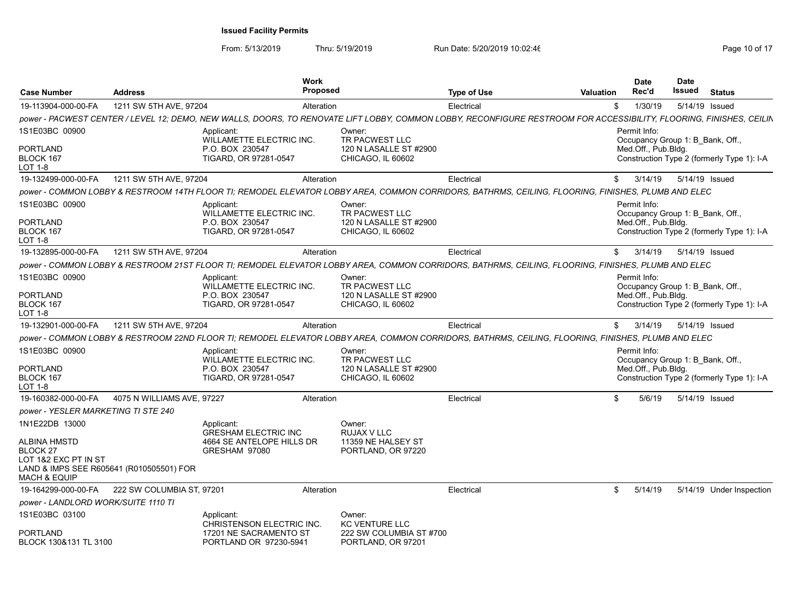| <b>Case Number</b>                                                                 | <b>Address</b>                           | <b>Work</b><br><b>Proposed</b>                                                                                                                                      |                                                                         | <b>Type of Use</b> | <b>Valuation</b> | <b>Date</b><br>Rec'd                                                    | <b>Date</b><br>Issued | <b>Status</b>                              |
|------------------------------------------------------------------------------------|------------------------------------------|---------------------------------------------------------------------------------------------------------------------------------------------------------------------|-------------------------------------------------------------------------|--------------------|------------------|-------------------------------------------------------------------------|-----------------------|--------------------------------------------|
| 19-113904-000-00-FA                                                                | 1211 SW 5TH AVE, 97204                   | Alteration                                                                                                                                                          |                                                                         | Electrical         | \$               | 1/30/19                                                                 |                       | 5/14/19 Issued                             |
|                                                                                    |                                          | power - PACWEST CENTER / LEVEL 12; DEMO, NEW WALLS, DOORS, TO RENOVATE LIFT LOBBY, COMMON LOBBY, RECONFIGURE RESTROOM FOR ACCESSIBILITY, FLOORING, FINISHES, CEILIN |                                                                         |                    |                  |                                                                         |                       |                                            |
| 1S1E03BC 00900                                                                     |                                          | Applicant:<br>WILLAMETTE ELECTRIC INC.                                                                                                                              | Owner:<br>TR PACWEST LLC                                                |                    |                  | Permit Info:<br>Occupancy Group 1: B Bank, Off.,                        |                       |                                            |
| <b>PORTLAND</b><br>BLOCK 167<br>LOT 1-8                                            |                                          | P.O. BOX 230547<br>TIGARD, OR 97281-0547                                                                                                                            | 120 N LASALLE ST #2900<br>CHICAGO, IL 60602                             |                    |                  | Med.Off., Pub.Bldg.                                                     |                       | Construction Type 2 (formerly Type 1): I-A |
| 19-132499-000-00-FA                                                                | 1211 SW 5TH AVE, 97204                   | Alteration                                                                                                                                                          |                                                                         | Electrical         | \$               | 3/14/19                                                                 |                       | 5/14/19 Issued                             |
|                                                                                    |                                          | power - COMMON LOBBY & RESTROOM 14TH FLOOR TI; REMODEL ELEVATOR LOBBY AREA, COMMON CORRIDORS, BATHRMS, CEILING, FLOORING, FINISHES, PLUMB AND ELEC                  |                                                                         |                    |                  |                                                                         |                       |                                            |
| 1S1E03BC 00900<br><b>PORTLAND</b><br>BLOCK 167<br>LOT 1-8                          |                                          | Applicant:<br>WILLAMETTE ELECTRIC INC.<br>P.O. BOX 230547<br>TIGARD, OR 97281-0547                                                                                  | Owner:<br>TR PACWEST LLC<br>120 N LASALLE ST #2900<br>CHICAGO, IL 60602 |                    |                  | Permit Info:<br>Occupancy Group 1: B Bank, Off.,<br>Med.Off., Pub.Bldg. |                       | Construction Type 2 (formerly Type 1): I-A |
| 19-132895-000-00-FA                                                                | 1211 SW 5TH AVE, 97204                   | Alteration                                                                                                                                                          |                                                                         | Electrical         | \$               | 3/14/19                                                                 |                       | 5/14/19 Issued                             |
|                                                                                    |                                          | power - COMMON LOBBY & RESTROOM 21ST FLOOR TI; REMODEL ELEVATOR LOBBY AREA, COMMON CORRIDORS, BATHRMS, CEILING, FLOORING, FINISHES, PLUMB AND ELEC                  |                                                                         |                    |                  |                                                                         |                       |                                            |
| 1S1E03BC 00900                                                                     |                                          | Applicant:<br>WILLAMETTE ELECTRIC INC.                                                                                                                              | Owner:<br>TR PACWEST LLC                                                |                    |                  | Permit Info:<br>Occupancy Group 1: B Bank, Off.,                        |                       |                                            |
| <b>PORTLAND</b><br>BLOCK 167<br>LOT 1-8                                            |                                          | P.O. BOX 230547<br>TIGARD, OR 97281-0547                                                                                                                            | 120 N LASALLE ST #2900<br>CHICAGO, IL 60602                             |                    |                  | Med.Off., Pub.Bldg.                                                     |                       | Construction Type 2 (formerly Type 1): I-A |
| 19-132901-000-00-FA                                                                | 1211 SW 5TH AVE, 97204                   | Alteration                                                                                                                                                          |                                                                         | Electrical         | \$               | 3/14/19                                                                 |                       | 5/14/19 Issued                             |
|                                                                                    |                                          | power - COMMON LOBBY & RESTROOM 22ND FLOOR TI; REMODEL ELEVATOR LOBBY AREA, COMMON CORRIDORS, BATHRMS, CEILING, FLOORING, FINISHES, PLUMB AND ELEC                  |                                                                         |                    |                  |                                                                         |                       |                                            |
| 1S1E03BC 00900                                                                     |                                          | Applicant:<br>WILLAMETTE ELECTRIC INC.                                                                                                                              | Owner:<br>TR PACWEST LLC                                                |                    |                  | Permit Info:<br>Occupancy Group 1: B Bank, Off.,                        |                       |                                            |
| PORTLAND<br>BLOCK 167<br>LOT 1-8                                                   |                                          | P.O. BOX 230547<br>TIGARD, OR 97281-0547                                                                                                                            | 120 N LASALLE ST #2900<br>CHICAGO, IL 60602                             |                    |                  | Med.Off., Pub.Bldg.                                                     |                       | Construction Type 2 (formerly Type 1): I-A |
| 19-160382-000-00-FA                                                                | 4075 N WILLIAMS AVE, 97227               | Alteration                                                                                                                                                          |                                                                         | Electrical         | \$               | 5/6/19                                                                  |                       | 5/14/19 Issued                             |
| power - YESLER MARKETING TI STE 240                                                |                                          |                                                                                                                                                                     |                                                                         |                    |                  |                                                                         |                       |                                            |
| 1N1E22DB 13000                                                                     |                                          | Applicant:<br><b>GRESHAM ELECTRIC INC</b>                                                                                                                           | Owner:<br><b>RUJAX V LLC</b>                                            |                    |                  |                                                                         |                       |                                            |
| ALBINA HMSTD<br><b>BLOCK 27</b><br>LOT 1&2 EXC PT IN ST<br><b>MACH &amp; EQUIP</b> | LAND & IMPS SEE R605641 (R010505501) FOR | 4664 SE ANTELOPE HILLS DR<br>GRESHAM 97080                                                                                                                          | 11359 NE HALSEY ST<br>PORTLAND, OR 97220                                |                    |                  |                                                                         |                       |                                            |
| 19-164299-000-00-FA                                                                | 222 SW COLUMBIA ST, 97201                | Alteration                                                                                                                                                          |                                                                         | Electrical         | \$               | 5/14/19                                                                 |                       | 5/14/19 Under Inspection                   |
| power - LANDLORD WORK/SUITE 1110 TI                                                |                                          |                                                                                                                                                                     |                                                                         |                    |                  |                                                                         |                       |                                            |
| 1S1E03BC 03100                                                                     |                                          | Applicant:<br><b>CHRISTENSON ELECTRIC INC.</b>                                                                                                                      | Owner:<br><b>KC VENTURE LLC</b>                                         |                    |                  |                                                                         |                       |                                            |
| <b>PORTLAND</b><br>BLOCK 130&131 TL 3100                                           |                                          | 17201 NE SACRAMENTO ST<br>PORTLAND OR 97230-5941                                                                                                                    | 222 SW COLUMBIA ST #700<br>PORTLAND, OR 97201                           |                    |                  |                                                                         |                       |                                            |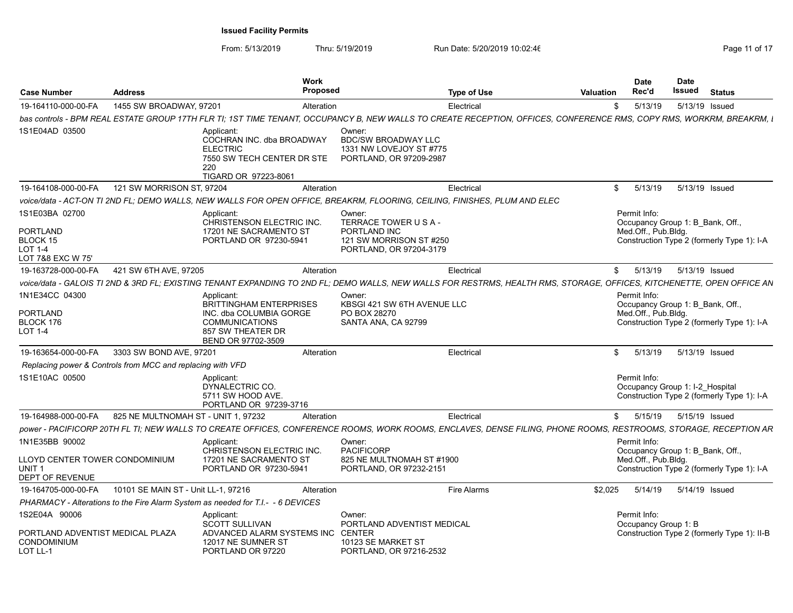| <b>Case Number</b>                                                                       | <b>Address</b>                                             | Work<br><b>Proposed</b>                                                                                                              |                                                                                                       | <b>Type of Use</b><br><b>Valuation</b>                                                                                                                               | <b>Date</b><br>Rec'd                 | <b>Date</b><br>Issued<br><b>Status</b>                                         |  |
|------------------------------------------------------------------------------------------|------------------------------------------------------------|--------------------------------------------------------------------------------------------------------------------------------------|-------------------------------------------------------------------------------------------------------|----------------------------------------------------------------------------------------------------------------------------------------------------------------------|--------------------------------------|--------------------------------------------------------------------------------|--|
| 19-164110-000-00-FA                                                                      | 1455 SW BROADWAY, 97201                                    | Alteration                                                                                                                           |                                                                                                       | Electrical                                                                                                                                                           | 5/13/19                              | 5/13/19 Issued                                                                 |  |
|                                                                                          |                                                            |                                                                                                                                      |                                                                                                       | bas controls - BPM REAL ESTATE GROUP 17TH FLR TI; 1ST TIME TENANT, OCCUPANCY B, NEW WALLS TO CREATE RECEPTION, OFFICES, CONFERENCE RMS, COPY RMS, WORKRM, BREAKRM, I |                                      |                                                                                |  |
| 1S1E04AD 03500                                                                           |                                                            | Applicant:<br>COCHRAN INC. dba BROADWAY<br><b>ELECTRIC</b><br>7550 SW TECH CENTER DR STE<br>220<br>TIGARD OR 97223-8061              | Owner<br><b>BDC/SW BROADWAY LLC</b><br>1331 NW LOVEJOY ST #775<br>PORTLAND, OR 97209-2987             |                                                                                                                                                                      |                                      |                                                                                |  |
| 19-164108-000-00-FA                                                                      | 121 SW MORRISON ST, 97204                                  | Alteration                                                                                                                           |                                                                                                       | Electrical                                                                                                                                                           | \$5/13/19                            | 5/13/19 Issued                                                                 |  |
|                                                                                          |                                                            | voice/data - ACT-ON TI 2ND FL; DEMO WALLS, NEW WALLS FOR OPEN OFFICE, BREAKRM, FLOORING, CEILING, FINISHES, PLUM AND ELEC            |                                                                                                       |                                                                                                                                                                      |                                      |                                                                                |  |
| 1S1E03BA 02700<br>PORTLAND<br>BLOCK 15<br><b>LOT 1-4</b><br>LOT 7&8 EXC W 75'            |                                                            | Applicant:<br>CHRISTENSON ELECTRIC INC<br>17201 NE SACRAMENTO ST<br>PORTLAND OR 97230-5941                                           | Owner:<br>TERRACE TOWER U S A -<br>PORTLAND INC<br>121 SW MORRISON ST #250<br>PORTLAND, OR 97204-3179 |                                                                                                                                                                      | Permit Info:<br>Med.Off., Pub.Bldg.  | Occupancy Group 1: B Bank, Off.,<br>Construction Type 2 (formerly Type 1): I-A |  |
| 19-163728-000-00-FA                                                                      | 421 SW 6TH AVE, 97205                                      | Alteration                                                                                                                           |                                                                                                       | Electrical                                                                                                                                                           | \$5/13/19                            | 5/13/19 Issued                                                                 |  |
|                                                                                          |                                                            | voice/data - GALOIS TI 2ND & 3RD FL; EXISTING TENANT EXPANDING TO 2ND FL;                                                            |                                                                                                       | DEMO WALLS, NEW WALLS FOR RESTRMS, HEALTH RMS, STORAGE, OFFICES, KITCHENETTE, OPEN OFFICE AN                                                                         |                                      |                                                                                |  |
| 1N1E34CC 04300<br>PORTLAND<br>BLOCK 176<br><b>LOT 1-4</b>                                |                                                            | Applicant:<br>BRITTINGHAM ENTERPRISES<br>INC. dba COLUMBIA GORGE<br><b>COMMUNICATIONS</b><br>857 SW THEATER DR<br>BEND OR 97702-3509 | Owner:<br>KBSGI 421 SW 6TH AVENUE LLC<br>PO BOX 28270<br>SANTA ANA, CA 92799                          |                                                                                                                                                                      | Permit Info:<br>Med.Off., Pub.Bldg.  | Occupancy Group 1: B Bank, Off.,<br>Construction Type 2 (formerly Type 1): I-A |  |
| 19-163654-000-00-FA                                                                      | 3303 SW BOND AVE, 97201                                    | Alteration                                                                                                                           |                                                                                                       | Electrical                                                                                                                                                           | \$5/13/19                            | 5/13/19 Issued                                                                 |  |
|                                                                                          | Replacing power & Controls from MCC and replacing with VFD |                                                                                                                                      |                                                                                                       |                                                                                                                                                                      |                                      |                                                                                |  |
| 1S1E10AC 00500                                                                           |                                                            | Applicant:<br>DYNALECTRIC CO.<br>5711 SW HOOD AVE<br>PORTLAND OR 97239-3716                                                          |                                                                                                       |                                                                                                                                                                      | Permit Info:                         | Occupancy Group 1: I-2 Hospital<br>Construction Type 2 (formerly Type 1): I-A  |  |
| 19-164988-000-00-FA                                                                      | 825 NE MULTNOMAH ST - UNIT 1, 97232                        | Alteration                                                                                                                           |                                                                                                       | Electrical                                                                                                                                                           | \$5/15/19                            | 5/15/19 Issued                                                                 |  |
|                                                                                          |                                                            |                                                                                                                                      |                                                                                                       | power - PACIFICORP 20TH FL TI; NEW WALLS TO CREATE OFFICES, CONFERENCE ROOMS, WORK ROOMS, ENCLAVES, DENSE FILING, PHONE ROOMS, RESTROOMS, STORAGE, RECEPTION AR      |                                      |                                                                                |  |
| 1N1E35BB 90002<br>LLOYD CENTER TOWER CONDOMINIUM<br>UNIT <sub>1</sub><br>DEPT OF REVENUE |                                                            | Applicant:<br>CHRISTENSON ELECTRIC INC.<br>17201 NE SACRAMENTO ST<br>PORTLAND OR 97230-5941                                          | Owner:<br><b>PACIFICORP</b><br>825 NE MULTNOMAH ST #1900<br>PORTLAND, OR 97232-2151                   |                                                                                                                                                                      | Permit Info:<br>Med.Off., Pub.Bldg.  | Occupancy Group 1: B Bank, Off.,<br>Construction Type 2 (formerly Type 1): I-A |  |
| 19-164705-000-00-FA                                                                      | 10101 SE MAIN ST - Unit LL-1, 97216                        | Alteration                                                                                                                           |                                                                                                       | \$2,025<br><b>Fire Alarms</b>                                                                                                                                        | 5/14/19                              | 5/14/19 Issued                                                                 |  |
|                                                                                          |                                                            | PHARMACY - Alterations to the Fire Alarm System as needed for T.I. - 6 DEVICES                                                       |                                                                                                       |                                                                                                                                                                      |                                      |                                                                                |  |
| 1S2E04A 90006<br>PORTLAND ADVENTIST MEDICAL PLAZA                                        |                                                            | Applicant:<br>SCOTT SULLIVAN<br>ADVANCED ALARM SYSTEMS INC CENTER                                                                    | Owner:<br>PORTLAND ADVENTIST MEDICAL                                                                  |                                                                                                                                                                      | Permit Info:<br>Occupancy Group 1: B | Construction Type 2 (formerly Type 1): II-B                                    |  |
| CONDOMINIUM<br>LOT LL-1                                                                  |                                                            | 12017 NE SUMNER ST<br>PORTLAND OR 97220                                                                                              | 10123 SE MARKET ST<br>PORTLAND, OR 97216-2532                                                         |                                                                                                                                                                      |                                      |                                                                                |  |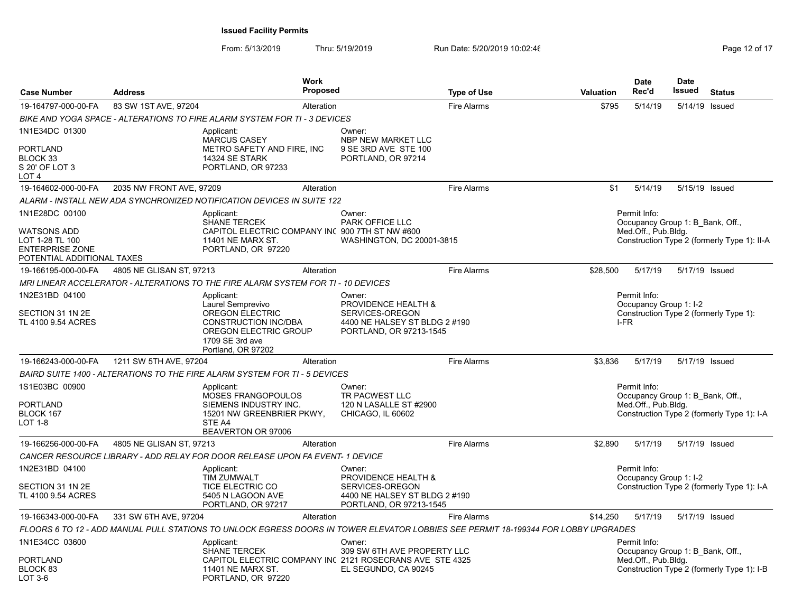| <b>Case Number</b>                                                                            | <b>Address</b>           | <b>Work</b><br><b>Proposed</b>                                                                                          |                                                                             | <b>Type of Use</b>                                                                                                                 | <b>Valuation</b> | <b>Date</b><br>Rec'd                                                    | <b>Date</b><br>Issued | <b>Status</b>                               |
|-----------------------------------------------------------------------------------------------|--------------------------|-------------------------------------------------------------------------------------------------------------------------|-----------------------------------------------------------------------------|------------------------------------------------------------------------------------------------------------------------------------|------------------|-------------------------------------------------------------------------|-----------------------|---------------------------------------------|
| 19-164797-000-00-FA                                                                           | 83 SW 1ST AVE, 97204     | Alteration                                                                                                              |                                                                             | <b>Fire Alarms</b>                                                                                                                 | \$795            | 5/14/19                                                                 | 5/14/19 Issued        |                                             |
|                                                                                               |                          | BIKE AND YOGA SPACE - ALTERATIONS TO FIRE ALARM SYSTEM FOR TI - 3 DEVICES                                               |                                                                             |                                                                                                                                    |                  |                                                                         |                       |                                             |
| 1N1E34DC 01300                                                                                |                          | Applicant:<br><b>MARCUS CASEY</b>                                                                                       | Owner:<br>NBP NEW MARKET LLC                                                |                                                                                                                                    |                  |                                                                         |                       |                                             |
| <b>PORTLAND</b><br>BLOCK 33<br>S 20' OF LOT 3<br>LOT 4                                        |                          | METRO SAFETY AND FIRE, INC<br>14324 SE STARK<br>PORTLAND, OR 97233                                                      | 9 SE 3RD AVE STE 100<br>PORTLAND, OR 97214                                  |                                                                                                                                    |                  |                                                                         |                       |                                             |
| 19-164602-000-00-FA                                                                           | 2035 NW FRONT AVE, 97209 | Alteration                                                                                                              |                                                                             | <b>Fire Alarms</b>                                                                                                                 | \$1              | 5/14/19                                                                 | 5/15/19 Issued        |                                             |
|                                                                                               |                          | ALARM - INSTALL NEW ADA SYNCHRONIZED NOTIFICATION DEVICES IN SUITE 122                                                  |                                                                             |                                                                                                                                    |                  |                                                                         |                       |                                             |
| 1N1E28DC 00100                                                                                |                          | Applicant:<br><b>SHANE TERCEK</b>                                                                                       | Owner:<br><b>PARK OFFICE LLC</b>                                            |                                                                                                                                    |                  | Permit Info:<br>Occupancy Group 1: B Bank, Off.,                        |                       |                                             |
| <b>WATSONS ADD</b><br>LOT 1-28 TL 100<br><b>ENTERPRISE ZONE</b><br>POTENTIAL ADDITIONAL TAXES |                          | CAPITOL ELECTRIC COMPANY IN( 900 7TH ST NW #600<br>11401 NE MARX ST.<br>PORTLAND, OR 97220                              | WASHINGTON, DC 20001-3815                                                   |                                                                                                                                    |                  | Med.Off., Pub.Bldg.                                                     |                       | Construction Type 2 (formerly Type 1): II-A |
| 19-166195-000-00-FA                                                                           | 4805 NE GLISAN ST, 97213 | Alteration                                                                                                              |                                                                             | <b>Fire Alarms</b>                                                                                                                 | \$28.500         | 5/17/19                                                                 | 5/17/19 Issued        |                                             |
|                                                                                               |                          | MRI LINEAR ACCELERATOR - ALTERATIONS TO THE FIRE ALARM SYSTEM FOR TI - 10 DEVICES                                       |                                                                             |                                                                                                                                    |                  |                                                                         |                       |                                             |
| 1N2E31BD 04100                                                                                |                          | Applicant:<br>Laurel Semprevivo                                                                                         | Owner:<br>PROVIDENCE HEALTH &                                               |                                                                                                                                    |                  | Permit Info:<br>Occupancy Group 1: I-2                                  |                       |                                             |
| SECTION 31 1N 2E<br>TL 4100 9.54 ACRES                                                        |                          | <b>OREGON ELECTRIC</b><br><b>CONSTRUCTION INC/DBA</b><br>OREGON ELECTRIC GROUP<br>1709 SE 3rd ave<br>Portland, OR 97202 | SERVICES-OREGON<br>4400 NE HALSEY ST BLDG 2 #190<br>PORTLAND, OR 97213-1545 |                                                                                                                                    |                  | I-FR                                                                    |                       | Construction Type 2 (formerly Type 1):      |
| 19-166243-000-00-FA                                                                           | 1211 SW 5TH AVE, 97204   | Alteration                                                                                                              |                                                                             | <b>Fire Alarms</b>                                                                                                                 | \$3,836          | 5/17/19                                                                 | 5/17/19 Issued        |                                             |
|                                                                                               |                          | BAIRD SUITE 1400 - ALTERATIONS TO THE FIRE ALARM SYSTEM FOR TI - 5 DEVICES                                              |                                                                             |                                                                                                                                    |                  |                                                                         |                       |                                             |
| 1S1E03BC 00900<br><b>PORTLAND</b><br>BLOCK 167<br><b>LOT 1-8</b>                              |                          | Applicant:<br>MOSES FRANGOPOULOS<br>SIEMENS INDUSTRY INC.<br>15201 NW GREENBRIER PKWY,<br>STE A4<br>BEAVERTON OR 97006  | Owner:<br>TR PACWEST LLC<br>120 N LASALLE ST #2900<br>CHICAGO, IL 60602     |                                                                                                                                    |                  | Permit Info:<br>Occupancy Group 1: B Bank, Off.,<br>Med.Off., Pub.Bldg. |                       | Construction Type 2 (formerly Type 1): I-A  |
| 19-166256-000-00-FA                                                                           | 4805 NE GLISAN ST, 97213 | Alteration                                                                                                              |                                                                             | <b>Fire Alarms</b>                                                                                                                 | \$2,890          | 5/17/19                                                                 | 5/17/19 Issued        |                                             |
|                                                                                               |                          | CANCER RESOURCE LIBRARY - ADD RELAY FOR DOOR RELEASE UPON FA EVENT- 1 DEVICE                                            |                                                                             |                                                                                                                                    |                  |                                                                         |                       |                                             |
| 1N2E31BD 04100                                                                                |                          | Applicant:<br><b>TIM ZUMWALT</b>                                                                                        | Owner:<br>PROVIDENCE HEALTH &                                               |                                                                                                                                    |                  | Permit Info:<br>Occupancy Group 1: I-2                                  |                       |                                             |
| SECTION 31 1N 2E<br>TL 4100 9.54 ACRES                                                        |                          | TICE ELECTRIC CO<br>5405 N LAGOON AVE<br>PORTLAND, OR 97217                                                             | SERVICES-OREGON<br>4400 NE HALSEY ST BLDG 2 #190<br>PORTLAND, OR 97213-1545 |                                                                                                                                    |                  |                                                                         |                       | Construction Type 2 (formerly Type 1): I-A  |
| 19-166343-000-00-FA                                                                           | 331 SW 6TH AVE, 97204    | Alteration                                                                                                              |                                                                             | <b>Fire Alarms</b>                                                                                                                 | \$14.250         | 5/17/19                                                                 | 5/17/19 Issued        |                                             |
|                                                                                               |                          |                                                                                                                         |                                                                             | FLOORS 6 TO 12 - ADD MANUAL PULL STATIONS TO UNLOCK EGRESS DOORS IN TOWER ELEVATOR LOBBIES SEE PERMIT 18-199344 FOR LOBBY UPGRADES |                  |                                                                         |                       |                                             |
| 1N1E34CC 03600                                                                                |                          | Applicant:<br><b>SHANE TERCEK</b>                                                                                       | Owner:<br>309 SW 6TH AVE PROPERTY LLC                                       |                                                                                                                                    |                  | Permit Info:<br>Occupancy Group 1: B_Bank, Off.,                        |                       |                                             |
| <b>PORTLAND</b><br>BLOCK 83<br>LOT 3-6                                                        |                          | CAPITOL ELECTRIC COMPANY IN( 2121 ROSECRANS AVE STE 4325<br>11401 NE MARX ST.<br>PORTLAND, OR 97220                     | EL SEGUNDO, CA 90245                                                        |                                                                                                                                    |                  | Med.Off., Pub.Bldg.                                                     |                       | Construction Type 2 (formerly Type 1): I-B  |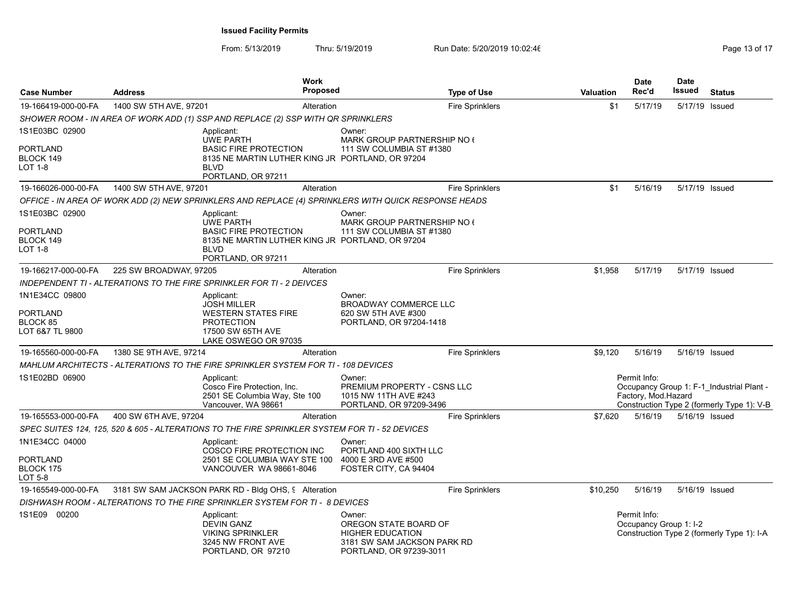| <b>Case Number</b>                                               | <b>Address</b>                                                                                       | <b>Work</b><br><b>Proposed</b>                                                                                             |                                                                                                                      | <b>Type of Use</b>     | <b>Valuation</b> | <b>Date</b><br>Rec'd                   | <b>Date</b><br>Issued | <b>Status</b>                                                                           |
|------------------------------------------------------------------|------------------------------------------------------------------------------------------------------|----------------------------------------------------------------------------------------------------------------------------|----------------------------------------------------------------------------------------------------------------------|------------------------|------------------|----------------------------------------|-----------------------|-----------------------------------------------------------------------------------------|
| 19-166419-000-00-FA                                              | 1400 SW 5TH AVE, 97201                                                                               | Alteration                                                                                                                 |                                                                                                                      | <b>Fire Sprinklers</b> | \$1              | 5/17/19                                | 5/17/19 Issued        |                                                                                         |
|                                                                  | SHOWER ROOM - IN AREA OF WORK ADD (1) SSP AND REPLACE (2) SSP WITH QR SPRINKLERS                     |                                                                                                                            |                                                                                                                      |                        |                  |                                        |                       |                                                                                         |
| 1S1E03BC 02900                                                   | Applicant:                                                                                           |                                                                                                                            | Owner:                                                                                                               |                        |                  |                                        |                       |                                                                                         |
| <b>PORTLAND</b><br>BLOCK 149<br><b>LOT 1-8</b>                   | <b>BLVD</b>                                                                                          | <b>UWE PARTH</b><br><b>BASIC FIRE PROTECTION</b><br>8135 NE MARTIN LUTHER KING JR PORTLAND, OR 97204<br>PORTLAND, OR 97211 | MARK GROUP PARTNERSHIP NO 6<br>111 SW COLUMBIA ST #1380                                                              |                        |                  |                                        |                       |                                                                                         |
| 19-166026-000-00-FA                                              | 1400 SW 5TH AVE, 97201                                                                               | Alteration                                                                                                                 |                                                                                                                      | <b>Fire Sprinklers</b> | \$1              | 5/16/19                                | 5/17/19 Issued        |                                                                                         |
|                                                                  | OFFICE - IN AREA OF WORK ADD (2) NEW SPRINKLERS AND REPLACE (4) SPRINKLERS WITH QUICK RESPONSE HEADS |                                                                                                                            |                                                                                                                      |                        |                  |                                        |                       |                                                                                         |
| 1S1E03BC 02900<br>PORTLAND<br>BLOCK 149<br>LOT 1-8               | Applicant:<br><b>BLVD</b>                                                                            | <b>UWE PARTH</b><br><b>BASIC FIRE PROTECTION</b><br>8135 NE MARTIN LUTHER KING JR PORTLAND, OR 97204                       | Owner:<br>MARK GROUP PARTNERSHIP NO 6<br>111 SW COLUMBIA ST #1380                                                    |                        |                  |                                        |                       |                                                                                         |
|                                                                  |                                                                                                      | PORTLAND, OR 97211                                                                                                         |                                                                                                                      |                        |                  |                                        |                       |                                                                                         |
| 19-166217-000-00-FA                                              | 225 SW BROADWAY, 97205                                                                               | Alteration                                                                                                                 |                                                                                                                      | <b>Fire Sprinklers</b> | \$1,958          | 5/17/19                                | 5/17/19 Issued        |                                                                                         |
|                                                                  | INDEPENDENT TI - ALTERATIONS TO THE FIRE SPRINKLER FOR TI - 2 DEIVCES                                |                                                                                                                            |                                                                                                                      |                        |                  |                                        |                       |                                                                                         |
| 1N1E34CC 09800<br><b>PORTLAND</b><br>BLOCK 85<br>LOT 6&7 TL 9800 | Applicant:                                                                                           | <b>JOSH MILLER</b><br><b>WESTERN STATES FIRE</b><br><b>PROTECTION</b><br>17500 SW 65TH AVE<br>LAKE OSWEGO OR 97035         | Owner:<br><b>BROADWAY COMMERCE LLC</b><br>620 SW 5TH AVE #300<br>PORTLAND, OR 97204-1418                             |                        |                  |                                        |                       |                                                                                         |
| 19-165560-000-00-FA                                              | 1380 SE 9TH AVE, 97214                                                                               | Alteration                                                                                                                 |                                                                                                                      | <b>Fire Sprinklers</b> | \$9,120          | 5/16/19                                | 5/16/19 Issued        |                                                                                         |
|                                                                  | MAHLUM ARCHITECTS - ALTERATIONS TO THE FIRE SPRINKLER SYSTEM FOR TI - 108 DEVICES                    |                                                                                                                            |                                                                                                                      |                        |                  |                                        |                       |                                                                                         |
| 1S1E02BD 06900                                                   | Applicant:                                                                                           | Cosco Fire Protection, Inc.<br>2501 SE Columbia Way, Ste 100<br>Vancouver, WA 98661                                        | Owner:<br>PREMIUM PROPERTY - CSNS LLC<br>1015 NW 11TH AVE #243<br>PORTLAND, OR 97209-3496                            |                        |                  | Permit Info:<br>Factory, Mod.Hazard    |                       | Occupancy Group 1: F-1_Industrial Plant -<br>Construction Type 2 (formerly Type 1): V-B |
| 19-165553-000-00-FA                                              | 400 SW 6TH AVE, 97204                                                                                | Alteration                                                                                                                 |                                                                                                                      | <b>Fire Sprinklers</b> | \$7,620          | 5/16/19                                | 5/16/19 Issued        |                                                                                         |
|                                                                  | SPEC SUITES 124, 125, 520 & 605 - ALTERATIONS TO THE FIRE SPRINKLER SYSTEM FOR TI - 52 DEVICES       |                                                                                                                            |                                                                                                                      |                        |                  |                                        |                       |                                                                                         |
| 1N1E34CC 04000<br>PORTLAND<br>BLOCK 175<br>LOT 5-8               | Applicant:                                                                                           | <b>COSCO FIRE PROTECTION INC</b><br>2501 SE COLUMBIA WAY STE 100<br>VANCOUVER WA 98661-8046                                | Owner:<br>PORTLAND 400 SIXTH LLC<br>4000 E 3RD AVE #500<br>FOSTER CITY, CA 94404                                     |                        |                  |                                        |                       |                                                                                         |
| 19-165549-000-00-FA                                              | 3181 SW SAM JACKSON PARK RD - Bldg OHS, 9 Alteration                                                 |                                                                                                                            |                                                                                                                      | <b>Fire Sprinklers</b> | \$10,250         | 5/16/19                                | 5/16/19 Issued        |                                                                                         |
|                                                                  | DISHWASH ROOM - ALTERATIONS TO THE FIRE SPRINKLER SYSTEM FOR TI -  8 DEVICES                         |                                                                                                                            |                                                                                                                      |                        |                  |                                        |                       |                                                                                         |
| 1S1E09 00200                                                     | Applicant:                                                                                           | <b>DEVIN GANZ</b><br><b>VIKING SPRINKLER</b><br>3245 NW FRONT AVE<br>PORTLAND, OR 97210                                    | Owner:<br>OREGON STATE BOARD OF<br><b>HIGHER EDUCATION</b><br>3181 SW SAM JACKSON PARK RD<br>PORTLAND, OR 97239-3011 |                        |                  | Permit Info:<br>Occupancy Group 1: I-2 |                       | Construction Type 2 (formerly Type 1): I-A                                              |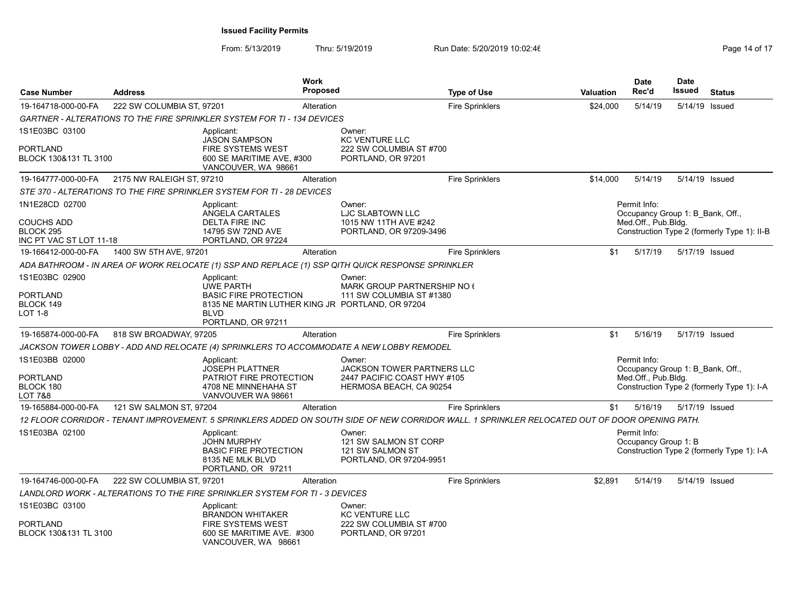| <b>Case Number</b>                                                          | <b>Address</b>            |                                                                                                                                   | <b>Work</b><br><b>Proposed</b> |                                                                                                       | <b>Type of Use</b>                                                                                                                             | <b>Valuation</b> | <b>Date</b><br>Rec'd                                                    | <b>Date</b><br>Issued | <b>Status</b>                               |
|-----------------------------------------------------------------------------|---------------------------|-----------------------------------------------------------------------------------------------------------------------------------|--------------------------------|-------------------------------------------------------------------------------------------------------|------------------------------------------------------------------------------------------------------------------------------------------------|------------------|-------------------------------------------------------------------------|-----------------------|---------------------------------------------|
| 19-164718-000-00-FA                                                         | 222 SW COLUMBIA ST, 97201 |                                                                                                                                   | Alteration                     |                                                                                                       | <b>Fire Sprinklers</b>                                                                                                                         | \$24,000         | 5/14/19                                                                 | 5/14/19 Issued        |                                             |
|                                                                             |                           | <b>GARTNER - ALTERATIONS TO THE FIRE SPRINKLER SYSTEM FOR TI - 134 DEVICES</b>                                                    |                                |                                                                                                       |                                                                                                                                                |                  |                                                                         |                       |                                             |
| 1S1E03BC 03100                                                              |                           | Applicant:                                                                                                                        |                                | Owner:                                                                                                |                                                                                                                                                |                  |                                                                         |                       |                                             |
| <b>PORTLAND</b><br>BLOCK 130&131 TL 3100                                    |                           | <b>JASON SAMPSON</b><br>FIRE SYSTEMS WEST<br>600 SE MARITIME AVE, #300<br>VANCOUVER, WA 98661                                     |                                | <b>KC VENTURE LLC</b><br>222 SW COLUMBIA ST #700<br>PORTLAND, OR 97201                                |                                                                                                                                                |                  |                                                                         |                       |                                             |
| 19-164777-000-00-FA                                                         | 2175 NW RALEIGH ST. 97210 |                                                                                                                                   | Alteration                     |                                                                                                       | <b>Fire Sprinklers</b>                                                                                                                         | \$14,000         | 5/14/19                                                                 | 5/14/19 Issued        |                                             |
|                                                                             |                           | STE 370 - ALTERATIONS TO THE FIRE SPRINKLER SYSTEM FOR TI - 28 DEVICES                                                            |                                |                                                                                                       |                                                                                                                                                |                  |                                                                         |                       |                                             |
| 1N1E28CD 02700<br><b>COUCHS ADD</b><br>BLOCK 295<br>INC PT VAC ST LOT 11-18 |                           | Applicant:<br>ANGELA CARTALES<br><b>DELTA FIRE INC</b><br>14795 SW 72ND AVE<br>PORTLAND, OR 97224                                 |                                | Owner:<br>LJC SLABTOWN LLC<br>1015 NW 11TH AVE #242<br>PORTLAND, OR 97209-3496                        |                                                                                                                                                |                  | Permit Info:<br>Occupancy Group 1: B Bank, Off.,<br>Med.Off., Pub.Bldg. |                       | Construction Type 2 (formerly Type 1): II-B |
| 19-166412-000-00-FA                                                         | 1400 SW 5TH AVE, 97201    |                                                                                                                                   | Alteration                     |                                                                                                       | <b>Fire Sprinklers</b>                                                                                                                         | \$1              | 5/17/19                                                                 | 5/17/19 Issued        |                                             |
|                                                                             |                           |                                                                                                                                   |                                | ADA BATHROOM - IN AREA OF WORK RELOCATE (1) SSP AND REPLACE (1) SSP QITH QUICK RESPONSE SPRINKLER     |                                                                                                                                                |                  |                                                                         |                       |                                             |
| 1S1E03BC 02900<br>PORTLAND<br>BLOCK 149<br><b>LOT 1-8</b>                   |                           | Applicant:<br><b>UWE PARTH</b><br><b>BASIC FIRE PROTECTION</b><br>8135 NE MARTIN LUTHER KING JR PORTLAND, OR 97204<br><b>BLVD</b> |                                | Owner:<br>MARK GROUP PARTNERSHIP NO 6<br>111 SW COLUMBIA ST #1380                                     |                                                                                                                                                |                  |                                                                         |                       |                                             |
|                                                                             |                           | PORTLAND, OR 97211                                                                                                                |                                |                                                                                                       |                                                                                                                                                |                  |                                                                         |                       |                                             |
| 19-165874-000-00-FA                                                         | 818 SW BROADWAY, 97205    |                                                                                                                                   | Alteration                     |                                                                                                       | <b>Fire Sprinklers</b>                                                                                                                         | \$1              | 5/16/19                                                                 | 5/17/19 Issued        |                                             |
|                                                                             |                           |                                                                                                                                   |                                | JACKSON TOWER LOBBY - ADD AND RELOCATE (4) SPRINKLERS TO ACCOMMODATE A NEW LOBBY REMODEL              |                                                                                                                                                |                  |                                                                         |                       |                                             |
| 1S1E03BB 02000<br><b>PORTLAND</b><br>BLOCK 180<br>LOT 7&8                   |                           | Applicant:<br><b>JOSEPH PLATTNER</b><br>PATRIOT FIRE PROTECTION<br>4708 NE MINNEHAHA ST<br>VANVOUVER WA 98661                     |                                | Owner:<br><b>JACKSON TOWER PARTNERS LLC</b><br>2447 PACIFIC COAST HWY #105<br>HERMOSA BEACH, CA 90254 |                                                                                                                                                |                  | Permit Info:<br>Occupancy Group 1: B Bank, Off.,<br>Med.Off., Pub.Blda. |                       | Construction Type 2 (formerly Type 1): I-A  |
| 19-165884-000-00-FA                                                         | 121 SW SALMON ST, 97204   |                                                                                                                                   | Alteration                     |                                                                                                       | <b>Fire Sprinklers</b>                                                                                                                         | \$1              | 5/16/19                                                                 | 5/17/19 Issued        |                                             |
|                                                                             |                           |                                                                                                                                   |                                |                                                                                                       | 12 FLOOR CORRIDOR - TENANT IMPROVEMENT. 5 SPRINKLERS ADDED ON SOUTH SIDE OF NEW CORRIDOR WALL. 1 SPRINKLER RELOCATED OUT OF DOOR OPENING PATH. |                  |                                                                         |                       |                                             |
| 1S1E03BA 02100                                                              |                           | Applicant:<br><b>JOHN MURPHY</b><br><b>BASIC FIRE PROTECTION</b><br>8135 NE MLK BLVD<br>PORTLAND, OR 97211                        |                                | Owner:<br>121 SW SALMON ST CORP<br>121 SW SALMON ST<br>PORTLAND, OR 97204-9951                        |                                                                                                                                                |                  | Permit Info:<br>Occupancy Group 1: B                                    |                       | Construction Type 2 (formerly Type 1): I-A  |
| 19-164746-000-00-FA                                                         | 222 SW COLUMBIA ST. 97201 |                                                                                                                                   | Alteration                     |                                                                                                       | <b>Fire Sprinklers</b>                                                                                                                         | \$2,891          | 5/14/19                                                                 | 5/14/19 Issued        |                                             |
|                                                                             |                           | LANDLORD WORK - ALTERATIONS TO THE FIRE SPRINKLER SYSTEM FOR TI - 3 DEVICES                                                       |                                |                                                                                                       |                                                                                                                                                |                  |                                                                         |                       |                                             |
| 1S1E03BC 03100<br><b>PORTLAND</b><br>BLOCK 130&131 TL 3100                  |                           | Applicant:<br><b>BRANDON WHITAKER</b><br><b>FIRE SYSTEMS WEST</b><br>600 SE MARITIME AVE. #300<br>VANCOUVER, WA 98661             |                                | Owner:<br><b>KC VENTURE LLC</b><br>222 SW COLUMBIA ST #700<br>PORTLAND, OR 97201                      |                                                                                                                                                |                  |                                                                         |                       |                                             |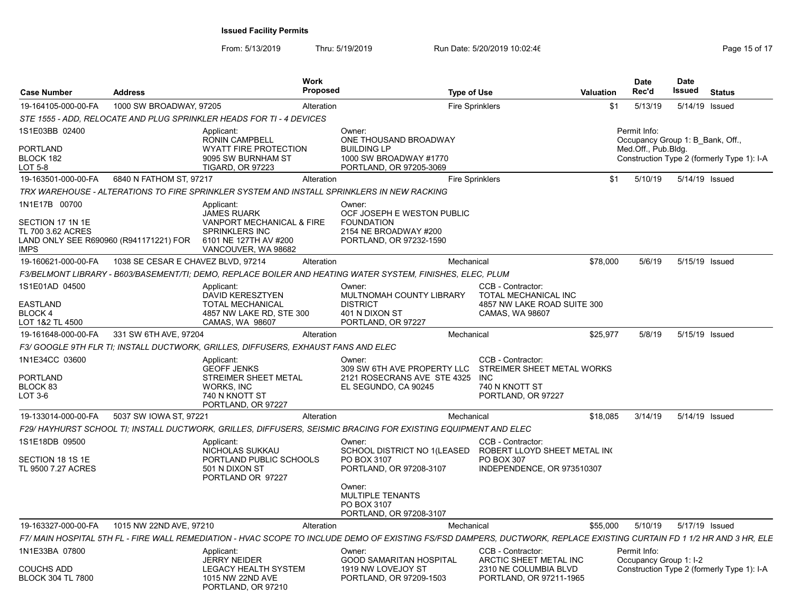| <b>Case Number</b>                                                                                              | <b>Address</b>                     | <b>Work</b>                                                                                                                     | <b>Proposed</b> |                                                                                                                                                                        | <b>Type of Use</b>                                                       | Valuation | <b>Date</b><br>Rec'd                                                    | <b>Date</b><br>Issued | <b>Status</b>                              |
|-----------------------------------------------------------------------------------------------------------------|------------------------------------|---------------------------------------------------------------------------------------------------------------------------------|-----------------|------------------------------------------------------------------------------------------------------------------------------------------------------------------------|--------------------------------------------------------------------------|-----------|-------------------------------------------------------------------------|-----------------------|--------------------------------------------|
| 19-164105-000-00-FA                                                                                             | 1000 SW BROADWAY, 97205            |                                                                                                                                 | Alteration      |                                                                                                                                                                        | <b>Fire Sprinklers</b>                                                   | \$1       | 5/13/19                                                                 | 5/14/19 Issued        |                                            |
|                                                                                                                 |                                    | STE 1555 - ADD. RELOCATE AND PLUG SPRINKLER HEADS FOR TI - 4 DEVICES                                                            |                 |                                                                                                                                                                        |                                                                          |           |                                                                         |                       |                                            |
| 1S1E03BB 02400<br><b>PORTLAND</b><br>BLOCK 182<br>LOT 5-8                                                       |                                    | Applicant:<br><b>RONIN CAMPBELL</b><br><b>WYATT FIRE PROTECTION</b><br>9095 SW BURNHAM ST<br><b>TIGARD, OR 97223</b>            |                 | Owner:<br>ONE THOUSAND BROADWAY<br><b>BUILDING LP</b><br>1000 SW BROADWAY #1770<br>PORTLAND, OR 97205-3069                                                             |                                                                          |           | Permit Info:<br>Occupancy Group 1: B Bank, Off.,<br>Med.Off., Pub.Bldg. |                       | Construction Type 2 (formerly Type 1): I-A |
| 19-163501-000-00-FA                                                                                             | 6840 N FATHOM ST, 97217            |                                                                                                                                 | Alteration      |                                                                                                                                                                        | <b>Fire Sprinklers</b>                                                   | \$1       | 5/10/19                                                                 | 5/14/19 Issued        |                                            |
|                                                                                                                 |                                    | TRX WAREHOUSE - ALTERATIONS TO FIRE SPRINKLER SYSTEM AND INSTALL SPRINKLERS IN NEW RACKING                                      |                 |                                                                                                                                                                        |                                                                          |           |                                                                         |                       |                                            |
| 1N1E17B 00700<br>SECTION 17 1N 1E<br>TL 700 3.62 ACRES<br>LAND ONLY SEE R690960 (R941171221) FOR<br><b>IMPS</b> |                                    | Applicant:<br><b>JAMES RUARK</b><br>VANPORT MECHANICAL & FIRE<br>SPRINKLERS INC<br>6101 NE 127TH AV #200<br>VANCOUVER, WA 98682 |                 | Owner:<br>OCF JOSEPH E WESTON PUBLIC<br><b>FOUNDATION</b><br>2154 NE BROADWAY #200<br>PORTLAND, OR 97232-1590                                                          |                                                                          |           |                                                                         |                       |                                            |
| 19-160621-000-00-FA                                                                                             | 1038 SE CESAR E CHAVEZ BLVD, 97214 |                                                                                                                                 | Alteration      |                                                                                                                                                                        | Mechanical                                                               | \$78,000  | 5/6/19                                                                  | 5/15/19 Issued        |                                            |
|                                                                                                                 |                                    |                                                                                                                                 |                 | F3/BELMONT LIBRARY - B603/BASEMENT/TI; DEMO, REPLACE BOILER AND HEATING WATER SYSTEM, FINISHES, ELEC, PLUM                                                             |                                                                          |           |                                                                         |                       |                                            |
| 1S1E01AD 04500<br><b>EASTLAND</b>                                                                               |                                    | Applicant:<br><b>DAVID KERESZTYEN</b><br><b>TOTAL MECHANICAL</b>                                                                |                 | Owner:<br>MULTNOMAH COUNTY LIBRARY<br><b>DISTRICT</b>                                                                                                                  | CCB - Contractor:<br>TOTAL MECHANICAL INC<br>4857 NW LAKE ROAD SUITE 300 |           |                                                                         |                       |                                            |
| <b>BLOCK 4</b><br>LOT 1&2 TL 4500                                                                               |                                    | 4857 NW LAKE RD, STE 300<br>CAMAS, WA 98607                                                                                     |                 | 401 N DIXON ST<br>PORTLAND, OR 97227                                                                                                                                   | CAMAS, WA 98607                                                          |           |                                                                         |                       |                                            |
| 19-161648-000-00-FA                                                                                             | 331 SW 6TH AVE, 97204              |                                                                                                                                 | Alteration      |                                                                                                                                                                        | Mechanical                                                               | \$25,977  | 5/8/19                                                                  | 5/15/19 Issued        |                                            |
|                                                                                                                 |                                    | F3/ GOOGLE 9TH FLR TI; INSTALL DUCTWORK, GRILLES, DIFFUSERS, EXHAUST FANS AND ELEC                                              |                 |                                                                                                                                                                        |                                                                          |           |                                                                         |                       |                                            |
| 1N1E34CC 03600<br><b>PORTLAND</b><br>BLOCK 83<br>LOT 3-6                                                        |                                    | Applicant:<br><b>GEOFF JENKS</b><br>STREIMER SHEET METAL<br>WORKS, INC<br>740 N KNOTT ST<br>PORTLAND, OR 97227                  |                 | Owner:<br>309 SW 6TH AVE PROPERTY LLC STREIMER SHEET METAL WORKS<br>2121 ROSECRANS AVE STE 4325 INC<br>EL SEGUNDO, CA 90245                                            | CCB - Contractor:<br>740 N KNOTT ST<br>PORTLAND, OR 97227                |           |                                                                         |                       |                                            |
| 19-133014-000-00-FA                                                                                             | 5037 SW IOWA ST, 97221             |                                                                                                                                 | Alteration      |                                                                                                                                                                        | Mechanical                                                               | \$18,085  | 3/14/19                                                                 | 5/14/19 Issued        |                                            |
|                                                                                                                 |                                    |                                                                                                                                 |                 | F29/HAYHURST SCHOOL TI; INSTALL DUCTWORK, GRILLES, DIFFUSERS, SEISMIC BRACING FOR EXISTING EQUIPMENT AND ELEC                                                          |                                                                          |           |                                                                         |                       |                                            |
| 1S1E18DB 09500<br>SECTION 18 1S 1E<br>TL 9500 7.27 ACRES                                                        |                                    | Applicant:<br>NICHOLAS SUKKAU<br>PORTLAND PUBLIC SCHOOLS<br>501 N DIXON ST<br>PORTLAND OR 97227                                 |                 | Owner:<br>SCHOOL DISTRICT NO 1(LEASED ROBERT LLOYD SHEET METAL INC<br>PO BOX 3107<br>PORTLAND, OR 97208-3107                                                           | CCB - Contractor:<br>PO BOX 307<br>INDEPENDENCE, OR 973510307            |           |                                                                         |                       |                                            |
|                                                                                                                 |                                    |                                                                                                                                 |                 | Owner:<br><b>MULTIPLE TENANTS</b><br>PO BOX 3107<br>PORTLAND, OR 97208-3107                                                                                            |                                                                          |           |                                                                         |                       |                                            |
| 19-163327-000-00-FA                                                                                             | 1015 NW 22ND AVE, 97210            |                                                                                                                                 | Alteration      |                                                                                                                                                                        | Mechanical                                                               | \$55,000  | 5/10/19                                                                 | 5/17/19 Issued        |                                            |
|                                                                                                                 |                                    |                                                                                                                                 |                 | F7/ MAIN HOSPITAL 5TH FL - FIRE WALL REMEDIATION - HVAC SCOPE TO INCLUDE DEMO OF EXISTING FS/FSD DAMPERS, DUCTWORK, REPLACE EXISTING CURTAIN FD 1 1/2 HR AND 3 HR, ELE |                                                                          |           |                                                                         |                       |                                            |
| 1N1E33BA 07800                                                                                                  |                                    | Applicant:<br><b>JERRY NEIDER</b>                                                                                               |                 | Owner:<br><b>GOOD SAMARITAN HOSPITAL</b>                                                                                                                               | CCB - Contractor:<br>ARCTIC SHEET METAL INC                              |           | Permit Info:<br>Occupancy Group 1: I-2                                  |                       |                                            |
| <b>COUCHS ADD</b><br><b>BLOCK 304 TL 7800</b>                                                                   |                                    | LEGACY HEALTH SYSTEM<br>1015 NW 22ND AVE<br>PORTLAND, OR 97210                                                                  |                 | 1919 NW LOVEJOY ST<br>PORTLAND, OR 97209-1503                                                                                                                          | 2310 NE COLUMBIA BLVD<br>PORTLAND, OR 97211-1965                         |           |                                                                         |                       | Construction Type 2 (formerly Type 1): I-A |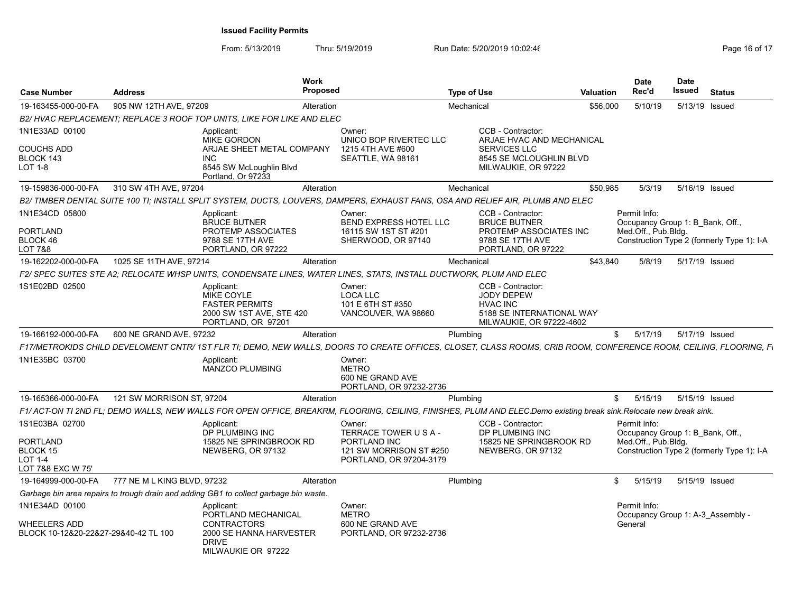| <b>Case Number</b>                                                 | <b>Address</b>              | <b>Work</b>                                                                                                                                                       | <b>Proposed</b>        |                                                                    | <b>Type of Use</b> |                                                                                                                    | <b>Valuation</b> | <b>Date</b><br>Rec'd                              | Date<br>Issued | <b>Status</b>                              |
|--------------------------------------------------------------------|-----------------------------|-------------------------------------------------------------------------------------------------------------------------------------------------------------------|------------------------|--------------------------------------------------------------------|--------------------|--------------------------------------------------------------------------------------------------------------------|------------------|---------------------------------------------------|----------------|--------------------------------------------|
| 19-163455-000-00-FA                                                | 905 NW 12TH AVE, 97209      |                                                                                                                                                                   | Alteration             |                                                                    | Mechanical         |                                                                                                                    | \$56,000         | 5/10/19                                           | 5/13/19 Issued |                                            |
|                                                                    |                             | B2/HVAC REPLACEMENT: REPLACE 3 ROOF TOP UNITS. LIKE FOR LIKE AND ELEC                                                                                             |                        |                                                                    |                    |                                                                                                                    |                  |                                                   |                |                                            |
| 1N1E33AD 00100                                                     |                             | Applicant:<br><b>MIKE GORDON</b>                                                                                                                                  | Owner:                 | UNICO BOP RIVERTEC LLC                                             |                    | CCB - Contractor:<br>ARJAE HVAC AND MECHANICAL                                                                     |                  |                                                   |                |                                            |
| <b>COUCHS ADD</b><br>BLOCK 143<br>LOT 1-8                          |                             | ARJAE SHEET METAL COMPANY<br><b>INC</b><br>8545 SW McLoughlin Blvd<br>Portland, Or 97233                                                                          |                        | 1215 4TH AVE #600<br>SEATTLE, WA 98161                             |                    | <b>SERVICES LLC</b><br>8545 SE MCLOUGHLIN BLVD<br>MILWAUKIE, OR 97222                                              |                  |                                                   |                |                                            |
| 19-159836-000-00-FA                                                | 310 SW 4TH AVE, 97204       |                                                                                                                                                                   | Alteration             |                                                                    | Mechanical         |                                                                                                                    | \$50,985         | 5/3/19                                            | 5/16/19 Issued |                                            |
|                                                                    |                             | B2/ TIMBER DENTAL SUITE 100 TI; INSTALL SPLIT SYSTEM, DUCTS, LOUVERS, DAMPERS, EXHAUST FANS, OSA AND RELIEF AIR, PLUMB AND ELEC                                   |                        |                                                                    |                    |                                                                                                                    |                  |                                                   |                |                                            |
| 1N1E34CD 05800                                                     |                             | Applicant:<br><b>BRUCE BUTNER</b>                                                                                                                                 | Owner:                 | <b>BEND EXPRESS HOTEL LLC</b>                                      |                    | CCB - Contractor:<br><b>BRUCE BUTNER</b>                                                                           |                  | Permit Info:<br>Occupancy Group 1: B Bank, Off.,  |                |                                            |
| <b>PORTLAND</b><br>BLOCK 46<br><b>LOT 7&amp;8</b>                  |                             | PROTEMP ASSOCIATES<br>9788 SE 17TH AVE<br>PORTLAND, OR 97222                                                                                                      |                        | 16115 SW 1ST ST #201<br>SHERWOOD, OR 97140                         |                    | PROTEMP ASSOCIATES INC<br>9788 SE 17TH AVE<br>PORTLAND, OR 97222                                                   |                  | Med.Off., Pub.Bldg.                               |                | Construction Type 2 (formerly Type 1): I-A |
| 19-162202-000-00-FA                                                | 1025 SE 11TH AVE, 97214     |                                                                                                                                                                   | Alteration             |                                                                    | Mechanical         |                                                                                                                    | \$43,840         | 5/8/19                                            | 5/17/19 Issued |                                            |
|                                                                    |                             | F2/ SPEC SUITES STE A2; RELOCATE WHSP UNITS, CONDENSATE LINES, WATER LINES, STATS, INSTALL DUCTWORK, PLUM AND ELEC                                                |                        |                                                                    |                    |                                                                                                                    |                  |                                                   |                |                                            |
| 1S1E02BD 02500                                                     |                             | Applicant:<br><b>MIKE COYLE</b><br><b>FASTER PERMITS</b><br>2000 SW 1ST AVE, STE 420<br>PORTLAND, OR 97201                                                        | Owner:<br>LOCA LLC     | 101 E 6TH ST #350<br>VANCOUVER, WA 98660                           |                    | CCB - Contractor:<br><b>JODY DEPEW</b><br><b>HVAC INC</b><br>5188 SE INTERNATIONAL WAY<br>MILWAUKIE, OR 97222-4602 |                  |                                                   |                |                                            |
| 19-166192-000-00-FA                                                | 600 NE GRAND AVE, 97232     |                                                                                                                                                                   | Alteration             |                                                                    | Plumbing           |                                                                                                                    | \$               | 5/17/19                                           | 5/17/19 Issued |                                            |
|                                                                    |                             | F17/METROKIDS CHILD DEVELOMENT CNTR/ 1ST FLR TI: DEMO. NEW WALLS. DOORS TO CREATE OFFICES. CLOSET. CLASS ROOMS. CRIB ROOM. CONFERENCE ROOM. CEILING. FLOORING. FL |                        |                                                                    |                    |                                                                                                                    |                  |                                                   |                |                                            |
| 1N1E35BC 03700                                                     |                             | Applicant:<br><b>MANZCO PLUMBING</b>                                                                                                                              | Owner:<br><b>METRO</b> | 600 NE GRAND AVE<br>PORTLAND, OR 97232-2736                        |                    |                                                                                                                    |                  |                                                   |                |                                            |
| 19-165366-000-00-FA                                                | 121 SW MORRISON ST. 97204   |                                                                                                                                                                   | Alteration             |                                                                    | Plumbing           |                                                                                                                    | \$               | 5/15/19                                           | 5/15/19 Issued |                                            |
|                                                                    |                             | F1/ACT-ON TI 2ND FL; DEMO WALLS, NEW WALLS FOR OPEN OFFICE, BREAKRM, FLOORING, CEILING, FINISHES, PLUM AND ELEC.Demo existing break sink.Relocate new break sink. |                        |                                                                    |                    |                                                                                                                    |                  |                                                   |                |                                            |
| 1S1E03BA 02700                                                     |                             | Applicant:<br>DP PLUMBING INC                                                                                                                                     | Owner:                 | TERRACE TOWER USA-                                                 |                    | CCB - Contractor:<br>DP PLUMBING INC                                                                               |                  | Permit Info:<br>Occupancy Group 1: B Bank, Off.,  |                |                                            |
| <b>PORTLAND</b><br>BLOCK 15<br><b>LOT 1-4</b><br>LOT 7&8 EXC W 75' |                             | 15825 NE SPRINGBROOK RD<br>NEWBERG, OR 97132                                                                                                                      |                        | PORTLAND INC<br>121 SW MORRISON ST #250<br>PORTLAND, OR 97204-3179 |                    | 15825 NE SPRINGBROOK RD<br>NEWBERG, OR 97132                                                                       |                  | Med.Off., Pub.Bldg.                               |                | Construction Type 2 (formerly Type 1): I-A |
| 19-164999-000-00-FA                                                | 777 NE M L KING BLVD, 97232 |                                                                                                                                                                   | Alteration             |                                                                    | Plumbing           |                                                                                                                    | \$               | 5/15/19                                           | 5/15/19 Issued |                                            |
|                                                                    |                             | Garbage bin area repairs to trough drain and adding GB1 to collect garbage bin waste.                                                                             |                        |                                                                    |                    |                                                                                                                    |                  |                                                   |                |                                            |
| 1N1E34AD 00100                                                     |                             | Applicant:<br>PORTLAND MECHANICAL                                                                                                                                 | Owner:<br><b>METRO</b> |                                                                    |                    |                                                                                                                    |                  | Permit Info:<br>Occupancy Group 1: A-3 Assembly - |                |                                            |
| <b>WHEELERS ADD</b><br>BLOCK 10-12&20-22&27-29&40-42 TL 100        |                             | <b>CONTRACTORS</b><br>2000 SE HANNA HARVESTER<br><b>DRIVE</b><br>MILWAUKIE OR 97222                                                                               |                        | 600 NE GRAND AVE<br>PORTLAND, OR 97232-2736                        |                    |                                                                                                                    |                  | General                                           |                |                                            |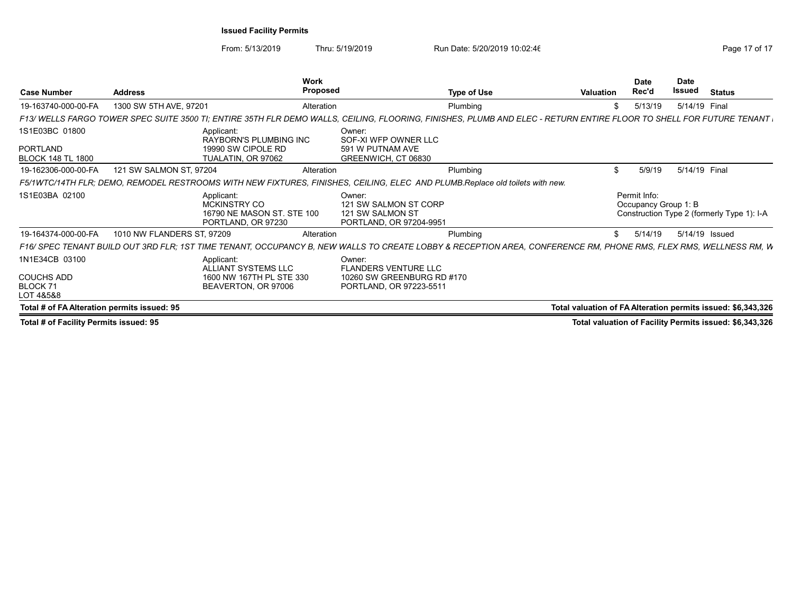|                                             |                            | <b>Work</b>                                                                                                                                                        |                                                                                |                    |                                                              | <b>Date</b>                          | <b>Date</b> |                                                         |
|---------------------------------------------|----------------------------|--------------------------------------------------------------------------------------------------------------------------------------------------------------------|--------------------------------------------------------------------------------|--------------------|--------------------------------------------------------------|--------------------------------------|-------------|---------------------------------------------------------|
| <b>Case Number</b>                          | <b>Address</b>             | Proposed                                                                                                                                                           |                                                                                | <b>Type of Use</b> | Valuation                                                    | Rec'd                                | Issued      | <b>Status</b>                                           |
| 19-163740-000-00-FA                         | 1300 SW 5TH AVE, 97201     | Alteration                                                                                                                                                         |                                                                                | Plumbing           |                                                              | 5/13/19                              |             | 5/14/19 Final                                           |
|                                             |                            | F13/WELLS FARGO TOWER SPEC SUITE 3500 TI; ENTIRE 35TH FLR DEMO WALLS, CEILING, FLOORING, FINISHES, PLUMB AND ELEC - RETURN ENTIRE FLOOR TO SHELL FOR FUTURE TENANT |                                                                                |                    |                                                              |                                      |             |                                                         |
| 1S1E03BC 01800                              |                            | Applicant:<br><b>RAYBORN'S PLUMBING INC</b>                                                                                                                        | Owner:<br>SOF-XI WFP OWNER LLC                                                 |                    |                                                              |                                      |             |                                                         |
| PORTLAND<br><b>BLOCK 148 TL 1800</b>        |                            | 19990 SW CIPOLE RD<br>TUALATIN, OR 97062                                                                                                                           | 591 W PUTNAM AVE<br>GREENWICH, CT 06830                                        |                    |                                                              |                                      |             |                                                         |
| 19-162306-000-00-FA                         | 121 SW SALMON ST, 97204    | Alteration                                                                                                                                                         |                                                                                | Plumbing           |                                                              | 5/9/19                               |             | 5/14/19 Final                                           |
|                                             |                            | F5/1WTC/14TH FLR; DEMO, REMODEL RESTROOMS WITH NEW FIXTURES, FINISHES, CEILING, ELEC AND PLUMB.Replace old toilets with new.                                       |                                                                                |                    |                                                              |                                      |             |                                                         |
| 1S1E03BA 02100                              |                            | Applicant:<br><b>MCKINSTRY CO</b><br>16790 NE MASON ST. STE 100<br>PORTLAND, OR 97230                                                                              | Owner:<br>121 SW SALMON ST CORP<br>121 SW SALMON ST<br>PORTLAND, OR 97204-9951 |                    |                                                              | Permit Info:<br>Occupancy Group 1: B |             | Construction Type 2 (formerly Type 1): I-A              |
| 19-164374-000-00-FA                         | 1010 NW FLANDERS ST, 97209 | Alteration                                                                                                                                                         |                                                                                | Plumbing           |                                                              | 5/14/19                              |             | 5/14/19 Issued                                          |
|                                             |                            | F16/ SPEC TENANT BUILD OUT 3RD FLR; 1ST TIME TENANT, OCCUPANCY B, NEW WALLS TO CREATE LOBBY & RECEPTION AREA, CONFERENCE RM, PHONE RMS, FLEX RMS, WELLNESS RM, W   |                                                                                |                    |                                                              |                                      |             |                                                         |
| 1N1E34CB 03100                              |                            | Applicant:<br>ALLIANT SYSTEMS LLC                                                                                                                                  | Owner:<br><b>FLANDERS VENTURE LLC</b>                                          |                    |                                                              |                                      |             |                                                         |
| <b>COUCHS ADD</b><br>BLOCK 71<br>LOT 4&5&8  |                            | 1600 NW 167TH PL STE 330<br>BEAVERTON, OR 97006                                                                                                                    | 10260 SW GREENBURG RD #170<br>PORTLAND, OR 97223-5511                          |                    |                                                              |                                      |             |                                                         |
| Total # of FA Alteration permits issued: 95 |                            |                                                                                                                                                                    |                                                                                |                    | Total valuation of FA Alteration permits issued: \$6,343,326 |                                      |             |                                                         |
| Total # of Facility Permits issued: 95      |                            |                                                                                                                                                                    |                                                                                |                    |                                                              |                                      |             | Total valuation of Facility Permits issued: \$6,343,326 |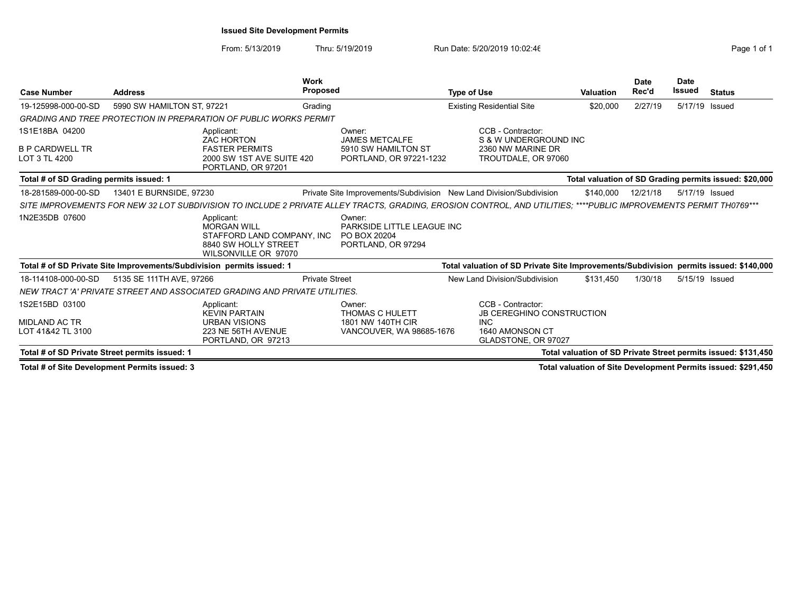## Issued Site Development Permits

From: 5/13/2019 Thru: 5/19/2019 Run Date: 5/20/2019 10:02:46 From: 5/13/2019 10:02:46

|                                                |                            |                                                                                                                | <b>Work</b>           |                                                                                                                                                                   |                    |                                                                                       |                  | <b>Date</b> | <b>Date</b>    |                                                                |
|------------------------------------------------|----------------------------|----------------------------------------------------------------------------------------------------------------|-----------------------|-------------------------------------------------------------------------------------------------------------------------------------------------------------------|--------------------|---------------------------------------------------------------------------------------|------------------|-------------|----------------|----------------------------------------------------------------|
| <b>Case Number</b><br><b>Address</b>           |                            |                                                                                                                | <b>Proposed</b>       |                                                                                                                                                                   | <b>Type of Use</b> |                                                                                       | <b>Valuation</b> | Rec'd       | Issued         | <b>Status</b>                                                  |
| 19-125998-000-00-SD                            | 5990 SW HAMILTON ST, 97221 |                                                                                                                | Grading               |                                                                                                                                                                   |                    | <b>Existing Residential Site</b>                                                      | \$20,000         | 2/27/19     | 5/17/19        | Issued                                                         |
|                                                |                            | <b>GRADING AND TREE PROTECTION IN PREPARATION OF PUBLIC WORKS PERMIT</b>                                       |                       |                                                                                                                                                                   |                    |                                                                                       |                  |             |                |                                                                |
| 1S1E18BA 04200                                 |                            | Applicant:<br><b>ZAC HORTON</b>                                                                                |                       | Owner:<br><b>JAMES METCALFE</b>                                                                                                                                   |                    | CCB - Contractor:<br>S & W UNDERGROUND INC                                            |                  |             |                |                                                                |
| <b>B P CARDWELL TR</b><br>LOT 3 TL 4200        |                            | <b>FASTER PERMITS</b><br>2000 SW 1ST AVE SUITE 420<br>PORTLAND, OR 97201                                       |                       | 5910 SW HAMILTON ST<br>PORTLAND, OR 97221-1232                                                                                                                    |                    | 2360 NW MARINE DR<br>TROUTDALE, OR 97060                                              |                  |             |                |                                                                |
| Total # of SD Grading permits issued: 1        |                            |                                                                                                                |                       |                                                                                                                                                                   |                    |                                                                                       |                  |             |                | Total valuation of SD Grading permits issued: \$20,000         |
| 18-281589-000-00-SD                            | 13401 E BURNSIDE, 97230    |                                                                                                                |                       | Private Site Improvements/Subdivision New Land Division/Subdivision                                                                                               |                    |                                                                                       | \$140,000        | 12/21/18    | 5/17/19 Issued |                                                                |
|                                                |                            |                                                                                                                |                       | SITE IMPROVEMENTS FOR NEW 32 LOT SUBDIVISION TO INCLUDE 2 PRIVATE ALLEY TRACTS, GRADING, EROSION CONTROL, AND UTILITIES; ****PUBLIC IMPROVEMENTS PERMIT TH0769*** |                    |                                                                                       |                  |             |                |                                                                |
| 1N2E35DB 07600                                 |                            | Applicant:<br><b>MORGAN WILL</b><br>STAFFORD LAND COMPANY, INC<br>8840 SW HOLLY STREET<br>WILSONVILLE OR 97070 |                       | Owner:<br>PARKSIDE LITTLE LEAGUE INC<br>PO BOX 20204<br>PORTLAND, OR 97294                                                                                        |                    |                                                                                       |                  |             |                |                                                                |
|                                                |                            | Total # of SD Private Site Improvements/Subdivision permits issued: 1                                          |                       |                                                                                                                                                                   |                    | Total valuation of SD Private Site Improvements/Subdivision permits issued: \$140,000 |                  |             |                |                                                                |
| 18-114108-000-00-SD                            | 5135 SE 111TH AVE, 97266   |                                                                                                                | <b>Private Street</b> |                                                                                                                                                                   |                    | New Land Division/Subdivision                                                         | \$131.450        | 1/30/18     | 5/15/19 Issued |                                                                |
|                                                |                            | NEW TRACT 'A' PRIVATE STREET AND ASSOCIATED GRADING AND PRIVATE UTILITIES.                                     |                       |                                                                                                                                                                   |                    |                                                                                       |                  |             |                |                                                                |
| 1S2E15BD 03100                                 |                            | Applicant:<br><b>KEVIN PARTAIN</b>                                                                             |                       | Owner:<br><b>THOMAS C HULETT</b>                                                                                                                                  |                    | CCB - Contractor:<br><b>JB CEREGHINO CONSTRUCTION</b>                                 |                  |             |                |                                                                |
| MIDLAND AC TR<br>LOT 41&42 TL 3100             |                            | <b>URBAN VISIONS</b><br>223 NE 56TH AVENUE<br>PORTLAND, OR 97213                                               |                       | 1801 NW 140TH CIR<br>VANCOUVER, WA 98685-1676                                                                                                                     |                    | <b>INC</b><br>1640 AMONSON CT<br>GLADSTONE, OR 97027                                  |                  |             |                |                                                                |
| Total # of SD Private Street permits issued: 1 |                            |                                                                                                                |                       |                                                                                                                                                                   |                    |                                                                                       |                  |             |                | Total valuation of SD Private Street permits issued: \$131,450 |

Total # of Site Development Permits issued: 3 Total valuation of Site Development Permits issued: \$291,450